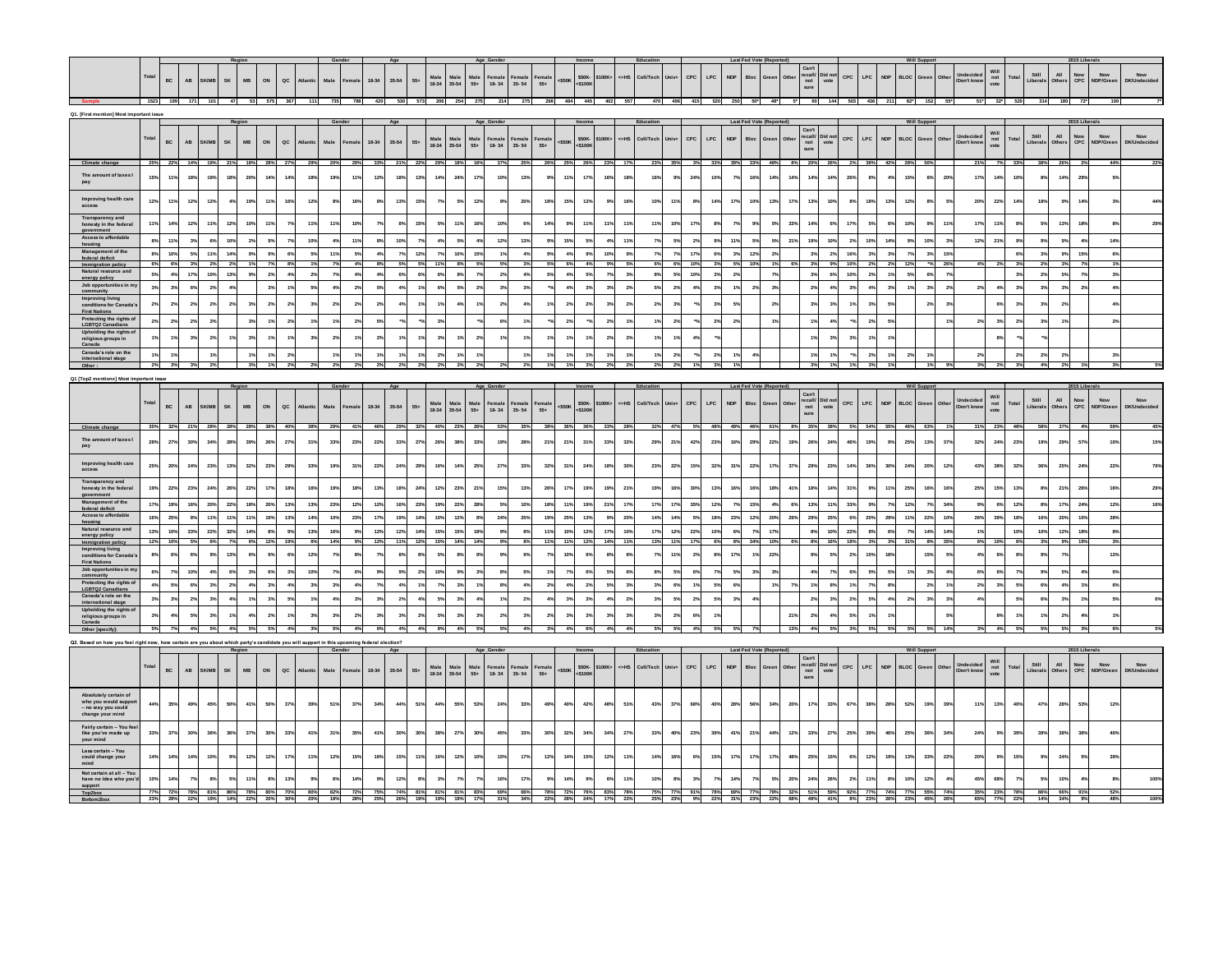|                                                                                                                |                 |                        |                        |                                                |                  |              |                  |                                |                        |                       |                 |                                            |           |                     |                   |                                                   |                     |                    |                 |                |                   |            |                                    |                       |              |                   | LPC<br><b>NDP</b>            |                  |                |            | $\begin{array}{c} \mathtt{Can't} \\ \mathtt{recall} \\ \mathtt{not} \end{array}$<br>Did no                     | CPC                       |            | <b>NDP</b>     |                    |                                                                          |                          | Will                                                     |                 | Still             | All                    | $_{\rm{CPC}}^{\rm{Now}}$ |                        | Now                       |
|----------------------------------------------------------------------------------------------------------------|-----------------|------------------------|------------------------|------------------------------------------------|------------------|--------------|------------------|--------------------------------|------------------------|-----------------------|-----------------|--------------------------------------------|-----------|---------------------|-------------------|---------------------------------------------------|---------------------|--------------------|-----------------|----------------|-------------------|------------|------------------------------------|-----------------------|--------------|-------------------|------------------------------|------------------|----------------|------------|----------------------------------------------------------------------------------------------------------------|---------------------------|------------|----------------|--------------------|--------------------------------------------------------------------------|--------------------------|----------------------------------------------------------|-----------------|-------------------|------------------------|--------------------------|------------------------|---------------------------|
|                                                                                                                | Total           | BC                     | $\mathsf{AB}^-$        | SK/MB                                          | SK               | MB           | ON               | $\sf{ac}$<br>Atlantic          | Male                   | Female                |                 | 18-34<br>$35 - 54$                         | $55+$     | Male<br>18-34 35-54 |                   | $\begin{array}{c} \text{Male} \\ 55+ \end{array}$ | Female<br>18-34     | Female<br>35-54    | emal<br>55+     | $<$ \$50K      | \$50K-<br><\$100K | 100K+      | c=HS                               | Coll/Tech             |              | $_{\rm{CPC}}$     |                              | Bloc             |                |            | vote<br>sur                                                                                                    |                           | LPC        |                | <b>BLOC</b>        | Gree<br>Other                                                            | Undecided<br>/Don't know | not<br>vote                                              | Total           | Liberals          | Dthei                  |                          | Now<br>NDP/Gree        |                           |
|                                                                                                                |                 | 1523 199 171           |                        | 101                                            | 47               |              | 575              | 367                            | 111                    | 735                   | 788             | 420                                        |           | 530 573 206 254 275 |                   |                                                   | 214                 | 275                |                 | 298 484 445    |                   | 402        |                                    | 470                   |              |                   |                              |                  |                |            | 90 144 503                                                                                                     |                           |            | 211            | 82"                | 152                                                                      |                          | $51^*$ 32'                                               | 520             | 314               | 180                    | $72^{\circ}$             |                        |                           |
| Q1. [First mention] Most important issue                                                                       |                 |                        |                        |                                                |                  |              |                  |                                |                        |                       |                 |                                            |           |                     |                   |                                                   |                     |                    |                 |                |                   |            |                                    |                       |              |                   |                              |                  |                |            |                                                                                                                |                           |            |                |                    |                                                                          |                          |                                                          |                 |                   |                        |                          |                        |                           |
|                                                                                                                |                 |                        |                        |                                                |                  |              |                  |                                |                        |                       |                 |                                            |           |                     |                   |                                                   |                     |                    |                 |                |                   |            |                                    |                       |              |                   |                              | Last Fed Vote (R |                |            |                                                                                                                |                           |            |                |                    |                                                                          |                          |                                                          |                 |                   |                        |                          |                        |                           |
|                                                                                                                | Total           | BC                     | $\mathsf{A}\mathsf{B}$ | <b>K/M</b>                                     | SK               | MB           | $_{\mathsf{ON}}$ | $_{\sf QC}$                    | Male                   | <sup>:</sup> emal     |                 | 18-34<br>$35-54$                           | $55+$     | Male<br>18-34       | Male<br>35-54     | <b>Male</b><br>$55+$                              | Female<br>$18 - 34$ | Femal<br>$35 - 54$ | Female<br>$55+$ | $<$ \$50K      | \$50K-<br>\$1001  | 100K+      | $\epsilon$ u HS                    | Coll/Tech             | <b>Univ.</b> | CPC               | LPC.<br><b>NDP</b>           | Bloc             | Green          |            | $\begin{array}{c} \text{Can't} \\ \text{recall/} \\ \text{not} \end{array}$<br>Did no<br>vote<br>sure          | CPC.                      | LPC        | <b>NDP</b>     | <b>BLOC</b>        | Green<br>Other                                                           | Undecide<br>Don't know   | Will<br>not<br>vote                                      | Total           | Still<br>iberal   | AII                    | Now<br>CPC               | Now<br>DP/Gree         | Now<br><b>DK/Undecide</b> |
| Climate change<br>The amount of taxes I                                                                        | 15%             | 25% 22%<br>11%         | 14%<br>18%             | 19                                             | 21% 18%<br>18%   | 20%          | 28%<br>14        | 27%<br>14%                     | 18 <sup>°</sup>        | 199                   | 119             | 33%<br>12%<br>18%                          | 13%       | 29%<br>14%          | 18%<br>24%        | 163<br>17%                                        | $37^{\circ}$<br>10% | $25^\circ$<br>13%  | 26%             | 25% 26%<br>11% | 17%               | 23%<br>16% | 18%                                | 16%                   | 35%<br>9%    | 3%<br>$24^{o}$    | 33%<br>39%<br>10%            | 33%<br>16        | 48%<br>14%     | 14%        | 20%<br>26%<br>14<br>14%                                                                                        | 26%                       | 38%<br>8%  | 49             | 42% 28% 50%<br>15% | 20%<br>$\epsilon$                                                        | 17%                      | 21%<br>14%                                               | 33%<br>10       | 38%<br>8%         | 26%<br>14%             | 29%                      |                        |                           |
| pay<br>Improving health care                                                                                   |                 |                        |                        |                                                |                  |              |                  |                                |                        |                       |                 |                                            |           |                     |                   |                                                   |                     |                    |                 |                |                   |            |                                    |                       |              |                   |                              |                  |                |            |                                                                                                                |                           |            |                |                    |                                                                          |                          |                                                          |                 |                   |                        |                          |                        |                           |
| access<br>Transparency and                                                                                     | 12%             | 11%                    | 12%                    | 12%                                            | 45               | 19%          | 11 <sup>°</sup>  | 16%                            | 12%                    | 89                    | 165             | 13%<br>8%                                  | 15%       | 7%                  | 5%                | 12%                                               | 9%                  | 20°                | 18%             | 15%            | 12%               | 9%         | 169                                | 10%                   | 11%          | 8%                | 14%<br>17%                   | 10%              | 13%            | 17%        | 13%<br>10%                                                                                                     | $8\%$                     | 18%        | 13%            | 12%                | 8%<br>59                                                                 | 20%                      | 22%                                                      | 14 <sup>9</sup> | 18%               | 9%                     | 14%                      |                        |                           |
| honesty in the federal<br>government<br>Access to affordable                                                   | 11<br>8%        | 14 <sup>5</sup><br>11% | 12%<br>3%              | 113<br>6%                                      | 12%<br>10%       | 10%<br>$2\%$ | 119<br>9%        | 7 <sup>o</sup><br>79           | 119<br>115<br>10%      | 4%                    | 105<br>115      | 8%<br>10%                                  | 15%<br>7% | 5%<br>4%            | 11%<br>5%         | 16%<br>4%                                         | 10%<br>12%          | 13%                | 9%              | 9%<br>15%      | 11%<br>5%         | 11%<br>4%  | 11 <sup>°</sup><br>11 <sup>6</sup> | 119<br>7 <sup>9</sup> | 10%<br>5%    | $17^{1}$<br>$2\%$ | 8 <sup>o</sup><br>9%<br>11%  | 5%               | 5%<br>5%       | 33%<br>21% | 6%<br>14<br>19%<br>10%                                                                                         | 17%<br>2%                 | 5%<br>10%  | 6%<br>14%      | 10%<br>9%          | 119<br>-9<br>10%<br>3%                                                   | 17%<br>12%               | 11%<br>21%                                               |                 | 5%<br>9%          | 13%<br>9%              | 18%<br>4%                | 14%                    |                           |
| housing<br>Management of the                                                                                   | 8 <sup>9</sup>  | 10%                    | 5%                     | 11%                                            | 14%              | $9\%$        | 9%               | 6%                             | 5%                     | 119                   | 59              | 4%<br>7 <sup>9</sup>                       | 12%       | 7%                  | 10%               | 15%                                               | 1 <sup>9</sup>      | 4 <sup>°</sup>     |                 | 4%             |                   |            | - 99                               | 7%                    |              | 17%               | 6%<br>3%                     | 12%              | $2\%$          |            | 3%                                                                                                             | $2\%$                     | $3\%$      | 3%             | $7\%$              | 15%<br>3 <sup>5</sup>                                                    |                          |                                                          |                 | $3\%$             |                        | 15%                      |                        |                           |
| federal deficit<br>Immigration policy                                                                          | 6%              | 6%                     |                        |                                                | 2%               |              | 7%               |                                |                        |                       |                 | 8%                                         | 5%        | 11%                 | 8%                |                                                   |                     |                    |                 | 6%             | $9\%$<br>4%       | 10%<br>9%  |                                    |                       | 7%<br>6%     | 10%               |                              | 10%              | 1%             |            | 3%                                                                                                             | 16%<br>10%<br>9%          | 2%         |                | 12%                | 26%                                                                      |                          |                                                          |                 |                   | $9\%$<br>3%            |                          | $6\%$                  |                           |
| Natural resource and<br>energy policy                                                                          | 5%              | 4%                     | 17%                    | 10%                                            | 13%              | $9\%$        | 2%               | 4%                             | 2%                     | 7 <sup>9</sup>        | 4 <sup>°</sup>  | 4%<br>63                                   | 6%        | 6%                  | 8%                | 7%                                                | 2%                  | 4 <sup>°</sup>     |                 | $4\%$          | $5\%$             | 7%         | 3 <sup>o</sup>                     | 8%                    | 5%           | 10%               | 3%<br>2%                     |                  | 7%             |            | 6%<br>3%                                                                                                       | 10%                       | $2\%$      | 1%             | 5%                 | 7%<br>6 <sup>4</sup>                                                     |                          |                                                          |                 | $2\%$             | 5%                     | 7%                       | $3\%$                  |                           |
| Job opportunities in my<br>community                                                                           | 3%              | 3 <sup>5</sup>         | 6%                     |                                                | 45               |              |                  |                                | $5^{\circ}$            |                       | 2 <sup>5</sup>  | $5^{\circ}$                                | 1%        | 6%                  | 5%                | 2%                                                | 3%                  |                    |                 | 4%             | 3%                | 3%         |                                    | 5%                    | 2%           |                   | 3 <sup>o</sup>               |                  | 3%             |            |                                                                                                                | 4%<br>3%                  | $4\%$      | 3 <sup>9</sup> | 1%                 | 2 <sup>9</sup><br>3 <sup>4</sup>                                         | 2 <sup>o</sup>           |                                                          |                 | 3%                | 3%                     | 2%                       |                        |                           |
| Improving living<br>conditions for Canada<br><b>First Nations</b>                                              | 2 <sup>9</sup>  | 2%                     | 2%                     |                                                | 2 <sup>9</sup>   | 3%           | 29               | $2^{n}$                        |                        | 2 <sup>5</sup>        | 2 <sup>5</sup>  | $\rightarrow$                              | 12        | 1 <sup>9</sup>      | 4 <sup>°</sup>    |                                                   | 29                  |                    |                 | 2%             | 2%                | 3%         |                                    | 2 <sup>9</sup>        | 3%           |                   | $3^{\circ}$                  |                  | 2 <sup>9</sup> |            | 3%                                                                                                             | 1%                        | 3%         | 5%             |                    | $\rightarrow$                                                            |                          | 6%                                                       |                 | 3%                | 2 <sup>9</sup>         |                          |                        |                           |
| Protecting the rights of<br>LGBTQ2 Canadians                                                                   | 2%              | 2%                     | 2%                     | 2%                                             |                  | 3%           | 1%               | 2%                             |                        |                       | 2%              | 5%                                         |           | 3%                  |                   |                                                   | 6%                  |                    |                 | 2%             |                   | 2%         |                                    | 1%                    | 2%           |                   | 2%<br>2%                     |                  | 1%             |            | 1%                                                                                                             | 4%                        | $2\%$      | 5%             |                    | 19                                                                       |                          | 2%<br>3%                                                 | 23              | 3%                | 1%                     |                          |                        |                           |
| Upholding the rights of<br>religious groups in<br>Canada                                                       |                 | 1%                     | 3%                     |                                                | 13               | 3%           |                  |                                |                        | 2 <sup>o</sup>        |                 | 2 <sup>9</sup>                             | 1%        | 3%                  |                   | 2%                                                |                     |                    |                 | 1%             | 1%                | 2%         | 2 <sup>o</sup>                     |                       | 1%           | -4%               |                              |                  |                |            |                                                                                                                | $3\%$<br>3%               | 19         | 12             |                    |                                                                          |                          | 8%                                                       |                 |                   |                        |                          |                        |                           |
| Canada's role on the<br>international stage                                                                    | 1%              | 1%                     |                        | 1%                                             |                  | 1%           | $1\%$            | 2 <sup>9</sup>                 |                        | 1 <sup>6</sup>        | 1 <sup>5</sup>  | 1%<br>19                                   | 1%        | 2%                  | 1%                |                                                   |                     |                    | 1%              | 1%             | 1%                | $1\%$      |                                    | 1%                    | $2\%$        |                   | 2%                           |                  |                |            | $1\%$                                                                                                          | 1%<br>$\frac{1}{2}$       | $2\%$      | 1%             | $2\%$              |                                                                          |                          | 2%                                                       | 2%              | $2\%$             | $2\%$                  |                          | $3\%$                  |                           |
|                                                                                                                |                 | 3%                     |                        |                                                |                  |              |                  |                                |                        |                       |                 |                                            |           |                     |                   |                                                   |                     |                    |                 |                |                   |            |                                    |                       |              |                   |                              |                  |                |            |                                                                                                                |                           | 3%         |                |                    |                                                                          |                          | 3%                                                       |                 | 4%                |                        |                          | 3%                     |                           |
| Q1 [Top2 mentionx] Most important issue                                                                        |                 |                        |                        |                                                |                  |              |                  |                                |                        |                       |                 |                                            |           |                     |                   |                                                   |                     |                    |                 |                |                   |            |                                    |                       |              |                   |                              |                  |                |            |                                                                                                                |                           |            |                |                    |                                                                          |                          |                                                          |                 |                   |                        | 015 Liberals             |                        |                           |
|                                                                                                                |                 |                        |                        |                                                |                  |              |                  |                                |                        |                       |                 |                                            |           |                     |                   |                                                   |                     |                    |                 |                |                   |            |                                    |                       |              |                   |                              |                  |                |            |                                                                                                                |                           |            |                |                    |                                                                          |                          |                                                          |                 |                   |                        |                          |                        |                           |
|                                                                                                                | Total           | BC                     | AB                     | <b>SK/MB</b>                                   | <b>SK</b>        | <b>MB</b>    | ON               | $_{\sf ac}$<br><b>Atlantic</b> | Male                   | Female                |                 | 35-54<br>18-34                             | $55+$     | Male<br>18-34       | Male<br>35-54     | Male<br>55+                                       | Female<br>18-34     | Female<br>35-54    | Female<br>$55+$ | $<$ S50K       | \$50K-<br>51001   | 100K       | $=$ HS                             | Coll/Tech             |              | CPC               | $\mathsf{LPC}$<br><b>NDP</b> | Blo              | Green          |            | $\begin{array}{c}\n\text{Can't} \\ \text{recall/} \\ \text{not} \\ \text{sure}\n\end{array}$<br>Did no<br>vote | CPC                       | LPC        | <b>NDP</b>     | <b>BLOC</b>        | Green<br>Other                                                           | Undecided<br>'Don't know | $\begin{array}{c} \text{Will} \\ \text{not} \end{array}$ | Total           | Still<br>Liberals | $\mathsf{All}$<br>Othe | Now<br>CPC               | Now<br>NDP/Gree        | Now<br>DK/Undecided       |
| Climate change                                                                                                 |                 | 35% 32% 21%            |                        | 28% 28%                                        |                  | <b>28%</b>   | 38%              | 40%                            | 38%                    | 29%                   | 41%             | 46%<br>29%                                 | 32%       | 40%                 | 23%               | $-263$                                            | 53%                 | 35%                | 38%             | 36%            | 36%               | 33% 28%    |                                    | 32%                   | 47%          | 5%                | 48% 49%                      |                  | 46% 61%        |            | 35%<br>38%                                                                                                     |                           |            |                | 5% 54% 55% 46% 63% |                                                                          |                          | 31% 23%                                                  | 48%             | 58%               | 37%                    |                          |                        |                           |
| The amount of taxes I<br>pay                                                                                   | 28%             | 27%                    | 30%                    | 34%                                            | 28%              | 39%          | 26%              | 27%                            | 31%                    | 33%                   | 23%             | 33%<br>22%                                 | 27%       | 26%                 | 38%               | 33%                                               | 19%                 | 28%                | 21%             | 21%            | 31%               | 33%        | 32%                                | 29%                   | 21%          | 42%               | 23%<br>16%                   | 29%              | 22%            | 19%        | 26%<br>24%                                                                                                     | 46%                       | 19%        | 9%             | 25%                | 13%<br>37%                                                               | 32%                      | 24%                                                      | 23%             | 19%               | 29%                    | 57%                      | 10%                    | 15%                       |
| Improving health care<br>access                                                                                | 25%             | 20%                    | 24%                    | 23%                                            | 13%              | 32%          | 23%              | 29%                            | 33%                    | 19%                   | 315             | 22%<br>24%                                 | 29%       | 16%                 | 14%               | 25%                                               | 27%                 | 33%                | 32%             | 31%            | 24%               | 18%        | 30%                                | 23%                   | 22%          | 15%               | 32%<br>31%                   | 22%              | 17%            | 37%        | 29%<br>23%                                                                                                     | 14%                       | 36%        | 30%            | 24%                | 20%<br>12%                                                               | 43%                      | 38%                                                      | 32%             | 36%               | 25%                    | 24%                      | 22%                    |                           |
| Transparency and<br>honesty in the federal                                                                     | 19 <sup>°</sup> | 22%                    | 23%                    | 24                                             | 26%              | 22%          | 17               | 18%                            | 169                    | 19%                   | 18%             | 13%<br>18%                                 | 24%       | 12%                 | 23%               | 21%                                               | 15%                 | 13 <sup>°</sup>    | 26              | 17%            | 19%               | 19%        | 21%                                | 19%                   | 16%          | 30%               | 13%<br>16%                   | 16               | 18%            | 41%        | 14%<br>18                                                                                                      | 31%                       | 9%         | 11%            | 25%                | 16<br>16%                                                                | 25%                      | 15%                                                      | 13              | 8%                | 21%                    | 26%                      |                        | 29%                       |
| government<br>Management of the<br>federal deficit                                                             | 17%             | 19%                    | 16%                    | 20%                                            | 22%              | 18%          | 20%              | 13%                            | 13%                    | 23%                   | 12%             | 12%<br>16%                                 | 23%       | 19%                 | 22%               | 28%                                               | 5%                  | 10%                | 185             | 11%            | 19%               | 21%        | 17 <sup>°</sup>                    | 17%                   | 17%          | 35%               | 12%                          | 15%              | 4%             | $6\%$      | 11%<br>13%                                                                                                     | 33%                       | $9\%$      | 7%             | 12%                | $\overline{7}$<br>349                                                    |                          | 9%<br>6%                                                 | 12 <sup>1</sup> | 8%                | 17%                    | 24%                      | 12%                    | 16%                       |
| Access to affordable<br>housing                                                                                |                 | 25%                    | 8%                     |                                                | 11%              | 11%          | 19               | 139                            | 14%                    | 10%                   | 23%             | 173<br>19%                                 | 14%       | 10%                 | 129               | 8%                                                | 24%                 | <b>25%</b>         |                 | 25%            | 13%               | 9%         | 20%                                | 14%                   | 14%          | 5%                | 18 <sup>1</sup><br>23%       | 12%              | 20%            | 29%        | 29%<br>25%                                                                                                     | $6\%$                     | 20%        | 29%            | 11%                | 223<br>10%                                                               | 26%                      | 39%                                                      | 18              | 16%               | 20%                    | 10%                      |                        |                           |
| Natural resource and<br>energy policy                                                                          | 13%             | 10%                    | 33%                    | 22%                                            | 32%              | 14%          | 8%               | 9 <sup>9</sup>                 | 13%                    | 16%                   | 9%              | 12 <sup>5</sup><br>123                     | 14%       | 15%                 | 15%               | 18%                                               | 9%                  | 8 <sup>°</sup>     | 11%             | 10%            | 12%               | 17%        | 10%                                | 17%                   | 12%          | 22%               | $10^{6}$<br>6%               |                  | 17%            |            | 10%<br>8%                                                                                                      | 22%                       | 8%         | 69             | 7%                 | 14%<br>14 <sup>°</sup>                                                   | 13                       |                                                          | 10%             | 10%               | 12%                    | 18%                      | 8%                     |                           |
| Immigration policy<br><b>Improving living<br/>conditions for Canada</b>                                        | $8\%$           | 12% 10%<br>6%          | - 5%<br>6%             | 6%                                             | 796<br>13%       | GOL.<br>6%   | 12% 19%<br>9%    | 6%                             | <b>GOL</b><br>$12^{s}$ | 14%<br>$\overline{r}$ | 8 <sup>°</sup>  | 12%<br>11%<br>$\overline{r}$               | 12%<br>8% | 15%<br>5%           | 14%<br>8%         | 1.4%<br>9%                                        |                     |                    |                 | 11%<br>10%     | 12%<br>6%         | 14%<br>8%  | 11%<br>6 <sup>o</sup>              | 13%                   | 11%<br>11%   | 17%<br>$2\%$      | 17%<br>8                     | 3,4%             | 10%<br>22%     |            | 8%                                                                                                             | 16% 18%<br>$5\%$<br>$2\%$ | 396<br>10% | 200<br>18%     | 31%                | 8%<br>35%<br>15%<br>59                                                   |                          | 6% 10%<br>49<br>6%                                       | 6%              |                   | 9%<br>7%               | 199                      | 12%                    |                           |
| <b>First Nations</b><br>Job opportunities in my                                                                | es.             | 7%                     | 10%                    | 4%                                             | 6%               | 3%           | 6%               | 3 <sup>9</sup>                 | 10%                    | $\overline{r}$        | 65              | 9%<br>$\mathbf{g}$                         | 2%        | 10%                 | 9%                | 3 <sup>o</sup>                                    | 89                  |                    |                 | 7%             | 6%                | 5%         |                                    | 8%                    | 5%           | 6%                | 75<br>5%                     | 3%               | 3%             |            |                                                                                                                | 7%<br>6%                  | 9%         | 5%             | 1%                 | 3 <sup>5</sup><br>4%                                                     |                          | 6%<br>6%                                                 |                 | 9%                | 5%                     | 4%                       |                        |                           |
| community<br>Protecting the rights of                                                                          |                 | 5%                     | 6%                     | 3%                                             | $2\%$            | 4%           | 3%               | 49                             | 3 <sup>9</sup>         | 3 <sup>9</sup>        |                 | 73                                         | 1%        | 7%                  | 3 <sup>9</sup>    |                                                   |                     |                    |                 | 4%             |                   | 5%         |                                    | 3%                    | 6%           | 1%                | 5%                           |                  | 1%             |            |                                                                                                                | $8\%$<br>1%               | 7%         | 8%             |                    | 2 <sup>5</sup><br>19                                                     |                          | 2%                                                       |                 | 6%                | 4%                     |                          | 6%                     |                           |
| <b>LGBTQ2 Canadians</b><br>Canada's role on the                                                                | 3%              | $3\%$                  | 2%                     |                                                | 4%               | 1%           | 3%               | 5%                             |                        | 49                    | 3 <sup>9</sup>  | 3%<br>2 <sup>9</sup>                       | 4%        | 5%                  | 3 <sup>9</sup>    | 4%                                                |                     | 2 <sup>6</sup>     |                 | 3%             | $3\%$             | 4%         |                                    | 3%                    | 5%           | 2%                | 5%<br>3%                     |                  |                |            |                                                                                                                | $3\%$<br>2%               | $5\%$      | $4\%$          | $2\%$              | 3 <sup>o</sup><br>3%                                                     |                          | 4%                                                       |                 | 6%                | $3\%$                  |                          | 5%                     |                           |
| international stage<br>Upholding the rights o                                                                  |                 | 4%                     | 5%                     |                                                |                  |              |                  |                                |                        |                       | 2 <sup>5</sup>  | 3 <sup>9</sup><br>3 <sup>o</sup>           | 2%        | 5%                  | 3 <sup>9</sup>    | 3%                                                | 2 <sup>9</sup>      |                    |                 | 3 <sup>9</sup> | 3%                | $3\%$      | 3 <sup>o</sup>                     | 3 <sup>9</sup>        | $2\%$        | 6%                |                              |                  |                | 21%        | 2 <sup>o</sup>                                                                                                 | $4\%$<br>5%               |            |                |                    |                                                                          |                          |                                                          |                 |                   | $2\%$                  |                          |                        |                           |
| religious groups in<br>Other [specify]:                                                                        |                 | 7%                     | 4%                     | 5%                                             | 4%               | 5%           | 5% 4%            |                                | 3%                     | 5%                    | 4%              | 6%                                         | 4%<br>4%  | 8%                  | 4%                |                                                   |                     |                    |                 | 4%             |                   |            |                                    | 5%                    | 5%           | 4%                | 5%                           | 5%               |                | 13%        | 4%                                                                                                             | 5%                        | 5%         | 5%             | 5%                 | 14%<br>5%                                                                |                          | 3%                                                       |                 | 5%                | 5%                     |                          |                        |                           |
| Based on how you feel right now, how certain are you about which party's candidate you will support in this up |                 |                        |                        |                                                |                  |              |                  |                                |                        |                       |                 | ng federal election                        |           |                     |                   |                                                   |                     |                    |                 |                |                   |            |                                    |                       |              |                   |                              |                  |                |            |                                                                                                                |                           |            |                |                    |                                                                          |                          |                                                          |                 |                   |                        |                          |                        |                           |
|                                                                                                                |                 |                        |                        |                                                | Pani             |              |                  |                                |                        | Cander                |                 |                                            |           |                     |                   |                                                   |                     |                    |                 |                |                   |            |                                    |                       |              |                   |                              |                  |                |            |                                                                                                                |                           |            |                |                    |                                                                          |                          |                                                          |                 |                   |                        |                          |                        |                           |
|                                                                                                                | Total           | BC                     | $\mathsf{AB}$          | SK/MB                                          | ${\bf S}{\bf K}$ | MB           | ON               | $\sf{QC}$<br>Atlantic          | Male                   | Female                |                 | 18-34<br>35-54                             | $55+$     | Male<br>18-34       | $Male$<br>$35-54$ | Male<br>$55+$                                     | Female<br>18-34     | Female<br>35-54    | Female<br>55+   | $<$ \$50K      | \$50K-<br><\$100K | 100K+      | :=HS                               | Coll/Tech             |              | $_{\rm{CPC}}$     | <b>LPC</b><br><b>NDP</b>     | Bloc             | iree           |            | $\begin{array}{ll} \text{Can't} \\ \text{recall/} \\ \text{not} \\ \text{sote} \\ \text{sure} \end{array}$     | CPC                       | LPC        | <b>NDP</b>     | <b>BLOC</b>        | Other<br><b>Gree</b>                                                     | Undecided<br>/Don't know | Will<br>not<br>vote                                      | Total           | Still<br>Liberals | All<br>Othe            | Now<br>CPC               | <b>Now</b><br>NDP/Gree | <b>Now</b>                |
| Absolutely certain of<br>who you would suppo<br>- no way you could<br>change your mind                         | 44%             | 35%                    | 49%                    | 45%                                            | 50%              | 41%          | 50%              | 37%                            | 39%                    | 51%                   | 37%             | 34%<br>44%                                 | 51%       | 44%                 | 55%               | 53%                                               | 24%                 | 33%                | 49%             | 40%            | 42%               | 48%        | 51%                                | 43%                   | 37%          | 68%               | 28%<br>40%                   | 56%              | 34%            | 20%        | 33%<br>17%                                                                                                     | 67%                       | 38%        | 28%            | 52%                | 19 <sup>°</sup><br>39%                                                   | 119                      | 13%                                                      | 40%             | 47%               | 28%                    | 53%                      | 12%                    |                           |
| Fairly certain - You feel<br>like you've made up                                                               | 33%             | 37%                    | 30%                    | 36                                             | 36%              | 37%          | 30               | 33%                            | 41%                    | 319                   | 35%             | 41%<br>30%                                 | 30%       | 38%                 | 27%               | 30%                                               | 45%                 | 339                | 30              | 32%            | 34%               | 34%        | 27%                                | 33%                   | 40%          | 23%               | 39%<br>41%                   | $21^{\circ}$     | 44%            | 12%        | 33%<br>27%                                                                                                     | 25%                       | 39%        | 46%            | 25%                | 36<br>34%                                                                | 24%                      | 9%                                                       | 39              | 39%               | 38%                    | 38%                      | 40%                    |                           |
| your mind<br>Less certain - You<br>could change your                                                           | 14%             | 14%                    | 14%                    | 10%                                            | 9%               | 12%          | 12%              | 17%                            | 11%                    | 12%                   | 15%             | 16%<br>15%                                 | 11%       | 16%                 | 12%               | 10%                                               | 15%                 | 17%                | 12%             | 14%            | 15%               | 12%        | 11%                                | 14%                   | 16%          | $6\%$             | 15%<br>17%                   | 17%              | 17%            | 48%        | 15%<br>25%                                                                                                     | 6%                        | 12%        | 19%            | 13%                | 33%<br>22%                                                               | 20%                      | 9%                                                       | 15%             | 9%                | 24%                    | 5%                       | 39%                    |                           |
| mind<br>Not certain at all - You<br>have no idea who you'                                                      | 10%             | 14%                    | 7%                     | 8%                                             | 5%               | 11%          | 8%               | 13%                            | 9 <sup>°</sup>         | 6%                    | 14 <sup>°</sup> | 12%<br>9 <sup>o</sup>                      | $8\%$     | 3%                  | $7^\circ$         | 7%                                                | 16%                 | 17 <sup>°</sup>    |                 | 14%            | 9%                | 6%         | 11 <sup>°</sup>                    | 10%                   | $8\%$        | 3%                | $\overline{r}$<br>14%        | 7%               | 5%             | 20%        | 24%<br>26%                                                                                                     | 2%                        | 11%        | 8%             | 10%                | 12 <sup>5</sup><br>49                                                    | 45%                      | 68%                                                      |                 | 5%                | 10%                    | 4%                       |                        |                           |
| Top2box                                                                                                        |                 | 77% 72% 78%            |                        | 81% 86% 78%<br>23% 28% 22% 19% 14% 22% 20% 30% |                  |              | 80% 70%          |                                | 80%                    | 82%                   | 72%             | 75%<br>20% 18% 28% 25% 26% 19% 19% 19% 17% | 74% 81%   | 81%                 | 81%               |                                                   | 31%                 | 34%                |                 | 22% 28% 24%    |                   | 17% 22%    |                                    |                       | 77%          |                   | 91% 78% 69% 77% 78% 32%      |                  |                |            | 51% 59% 92%                                                                                                    |                           |            | 77% 74%        |                    | 77% 55% 74%<br>25% 23% 9% 22% 31% 23% 22% 68% 49% 41% 8% 23% 26% 45% 45% |                          | 35% 23%<br>65% 77% 22%                                   | 78%             | 86%               | 14% 34%                |                          |                        |                           |
| Bottom2box                                                                                                     |                 |                        |                        |                                                |                  |              |                  |                                |                        |                       |                 |                                            |           |                     |                   |                                                   |                     |                    |                 |                |                   |            |                                    |                       |              |                   |                              |                  |                |            |                                                                                                                |                           |            |                |                    |                                                                          |                          |                                                          |                 |                   |                        |                          |                        |                           |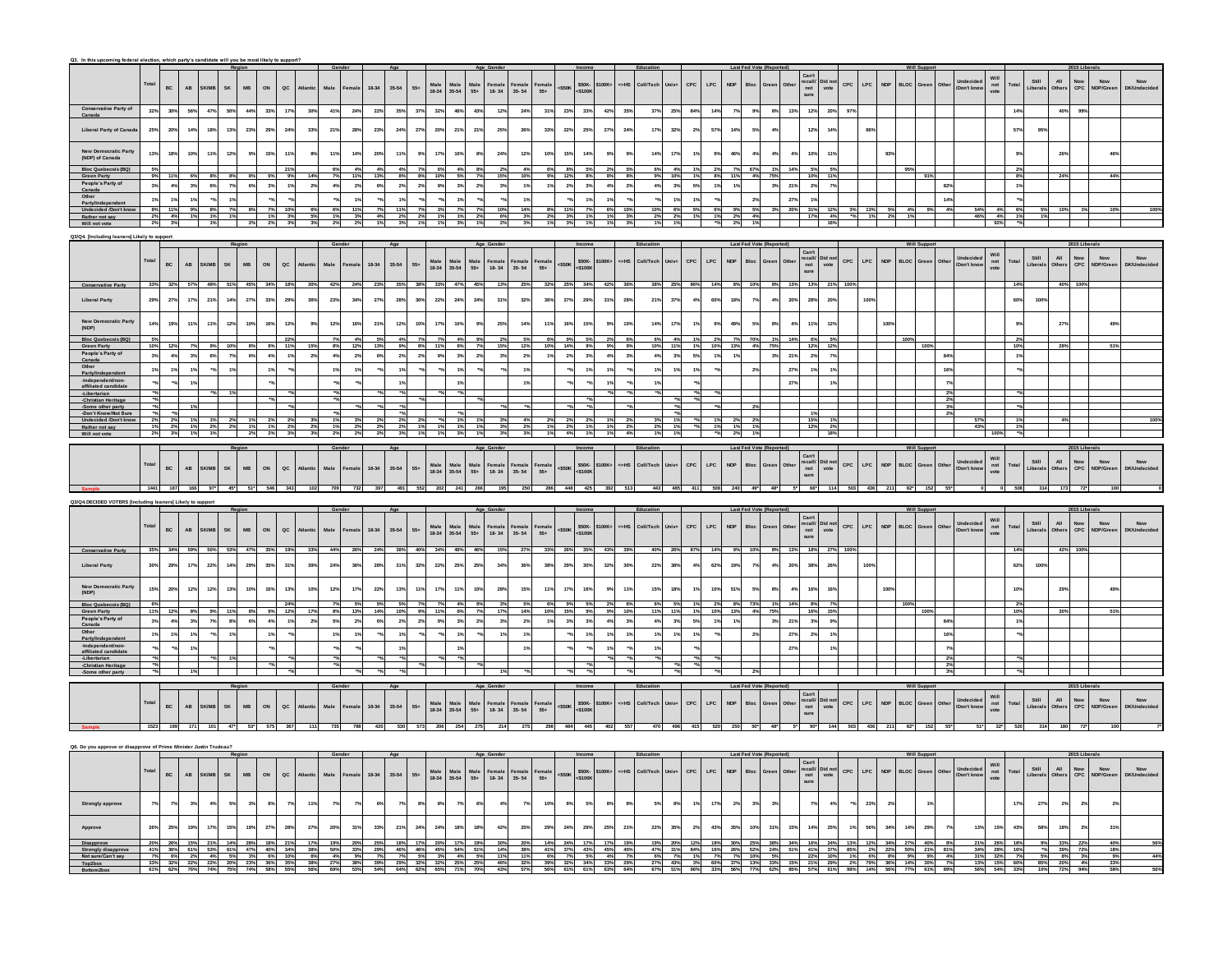|                                                                    | Tota  | $_{\rm BC}$                                                                                   | $\mathsf{AB}^-$<br>SK/MB        | SK               | $_{\rm MB}$                       | ON<br>$\sf{QC}$                           |          | Male           | Female | 18-34<br>$35 - 54$     | $55+$                |               | Male<br>18-34 35-54<br>Male<br>$55+$                                                                        | Female<br>18-34                                                    | Female<br>35-54            | <sup>∓</sup> emale<br>55+ | $<$ \$50K                                                                                                                                                                                                                                                                                                                                                                                                                                                                                            | 5100K+<br>\$50K-<br><\$100K                                  | c=HS            | Coll/Tech | CPC                   | LPC                | .<br>Bloc<br><b>NDP</b> |       |            | Can't<br>recall/<br>not<br>sure<br>Did no<br>vote                                                                    | CPC        | $\mathsf{LPC}$              | NDP        | BLOC                                  |       | Undecideo<br>Don't knov  | Will<br>not<br>vote                      | Total           | All<br>Other<br>Still<br>Liberals | Now<br>CPC             | Now<br>IDP/Gree | Now                  |
|--------------------------------------------------------------------|-------|-----------------------------------------------------------------------------------------------|---------------------------------|------------------|-----------------------------------|-------------------------------------------|----------|----------------|--------|------------------------|----------------------|---------------|-------------------------------------------------------------------------------------------------------------|--------------------------------------------------------------------|----------------------------|---------------------------|------------------------------------------------------------------------------------------------------------------------------------------------------------------------------------------------------------------------------------------------------------------------------------------------------------------------------------------------------------------------------------------------------------------------------------------------------------------------------------------------------|--------------------------------------------------------------|-----------------|-----------|-----------------------|--------------------|-------------------------|-------|------------|----------------------------------------------------------------------------------------------------------------------|------------|-----------------------------|------------|---------------------------------------|-------|--------------------------|------------------------------------------|-----------------|-----------------------------------|------------------------|-----------------|----------------------|
|                                                                    |       |                                                                                               |                                 |                  |                                   |                                           |          |                |        |                        |                      |               |                                                                                                             |                                                                    |                            |                           |                                                                                                                                                                                                                                                                                                                                                                                                                                                                                                      |                                                              |                 |           |                       |                    |                         |       |            |                                                                                                                      |            |                             |            |                                       |       |                          |                                          |                 |                                   |                        |                 |                      |
| Conservative Party of                                              |       |                                                                                               |                                 |                  |                                   |                                           |          |                |        |                        |                      |               |                                                                                                             |                                                                    |                            |                           |                                                                                                                                                                                                                                                                                                                                                                                                                                                                                                      |                                                              |                 |           |                       |                    |                         |       |            |                                                                                                                      |            |                             |            |                                       |       |                          |                                          |                 |                                   |                        |                 |                      |
|                                                                    | 32%   | $30\%$                                                                                        | 56%<br>47%                      | 50%              | 44%                               | 33%<br>17%                                | 30%      | 41%            | 24%    | 22%                    | 35%<br>37%           | 32%           | 46%                                                                                                         | 43%<br>12%                                                         | 24%                        | 31%                       | 23%                                                                                                                                                                                                                                                                                                                                                                                                                                                                                                  | 33%<br>42%                                                   | 35%             | 37%       | 25%<br>84%            | 14%                | 9%                      | 8%    | 13%        | 12%                                                                                                                  | 20%<br>97% |                             |            |                                       |       |                          |                                          | 14%             |                                   | 40%<br>99%             |                 |                      |
| Liberal Party of Can                                               | 25%   | 20%                                                                                           | 14%<br>18%                      | 13%              | 23%                               | 24%<br>29%                                | 33%      | 21%            | 28%    | 23 <sup>9</sup>        | 24%<br>27%           | 20%           | 21%                                                                                                         | 21%<br>25%                                                         | 26%                        | 33%                       | 22%                                                                                                                                                                                                                                                                                                                                                                                                                                                                                                  | 25%<br>27%                                                   | 24%             | 17%       | 32%<br>2 <sup>9</sup> | 575                | 14%<br>53               |       |            | $12^{6}$                                                                                                             | 143        | 865                         |            |                                       |       |                          |                                          | 57%             | 95%                               |                        |                 |                      |
|                                                                    |       |                                                                                               |                                 |                  |                                   |                                           |          |                |        |                        |                      |               |                                                                                                             |                                                                    |                            |                           |                                                                                                                                                                                                                                                                                                                                                                                                                                                                                                      |                                                              |                 |           |                       |                    |                         |       |            |                                                                                                                      |            |                             |            |                                       |       |                          |                                          |                 |                                   |                        |                 |                      |
|                                                                    |       |                                                                                               |                                 |                  |                                   |                                           |          |                |        |                        |                      |               |                                                                                                             |                                                                    |                            |                           |                                                                                                                                                                                                                                                                                                                                                                                                                                                                                                      |                                                              |                 |           |                       |                    |                         |       |            |                                                                                                                      |            |                             |            |                                       |       |                          |                                          |                 |                                   |                        |                 |                      |
| New Democratic Party<br>(NDP) of Canada                            | 13%   | 18%                                                                                           | 10%                             | 12%              | 9%                                | 15%<br>11%                                |          | 119            | 14%    | 20%                    | 11%<br>9%            | 17%           | 10%                                                                                                         | 24%<br>$8\%$                                                       | 12%                        |                           | 15%                                                                                                                                                                                                                                                                                                                                                                                                                                                                                                  | 14%                                                          | 9 <sup>°</sup>  | 14%       | 17%                   |                    | 46%                     |       | 4%         | 10%                                                                                                                  | 11%        |                             |            |                                       |       |                          |                                          |                 |                                   | 26                     |                 |                      |
| <b>Bloc Quebecois (B)</b>                                          |       |                                                                                               |                                 |                  |                                   |                                           |          |                |        |                        |                      | 6%            | 4%                                                                                                          | 2%                                                                 |                            |                           |                                                                                                                                                                                                                                                                                                                                                                                                                                                                                                      |                                                              | 5%              |           |                       |                    |                         |       |            |                                                                                                                      |            |                             |            |                                       |       |                          |                                          |                 |                                   |                        |                 |                      |
| <b>Green Party</b>                                                 |       |                                                                                               |                                 |                  |                                   |                                           |          |                | 11%    | 13%                    | 8%                   | 10%           |                                                                                                             | 15%                                                                | 10%                        |                           |                                                                                                                                                                                                                                                                                                                                                                                                                                                                                                      | 8%                                                           | 8%              |           |                       |                    |                         |       |            |                                                                                                                      | 11%        |                             |            |                                       |       |                          |                                          |                 |                                   |                        |                 |                      |
| People's Party of<br>Canada                                        |       | 4%                                                                                            | 3%                              | 6%<br>7%         | 6%                                | 3%<br>1%                                  | 2%       | 4%             | 2%     | 6%                     | 2%<br>$2\%$          | $9\%$         | 3%<br>2%                                                                                                    | 3%                                                                 | 1%                         | $1\%$                     | $2\%$                                                                                                                                                                                                                                                                                                                                                                                                                                                                                                | 4%<br>3%                                                     | $2\%$           | 4%        | $3\%$<br>5%           | 1%                 |                         | 3%    | 21%        | 2%                                                                                                                   | $7\%$      |                             |            |                                       |       |                          |                                          |                 |                                   |                        |                 |                      |
|                                                                    |       | 1%                                                                                            |                                 | 1%               |                                   |                                           |          |                | 1%     |                        | 1%                   |               | 1%                                                                                                          |                                                                    | 1%                         |                           |                                                                                                                                                                                                                                                                                                                                                                                                                                                                                                      | 1%                                                           |                 |           | 1%                    |                    | 2 <sup>5</sup>          |       |            | 19                                                                                                                   |            |                             |            |                                       |       |                          |                                          |                 |                                   |                        |                 |                      |
| Other<br>Party/Ind                                                 |       | 11%                                                                                           |                                 |                  |                                   |                                           |          |                | 11%    |                        | 11%                  |               |                                                                                                             | 10%                                                                | 14%                        |                           |                                                                                                                                                                                                                                                                                                                                                                                                                                                                                                      |                                                              | 10%             |           | 6%                    |                    |                         |       | 27%<br>20% | 31%                                                                                                                  |            |                             |            |                                       |       |                          |                                          |                 |                                   |                        |                 |                      |
| Undecided /Don't kno<br>Rather not say                             | 2%    | 4%                                                                                            |                                 | 8%<br>1%<br>1%   |                                   | 1%                                        |          |                | 3%     |                        | 2%                   |               | 1%                                                                                                          | - 6%<br>2%                                                         | 3%                         |                           |                                                                                                                                                                                                                                                                                                                                                                                                                                                                                                      | 1%                                                           | 3%              |           | 2%                    |                    |                         |       |            | 175                                                                                                                  |            |                             |            |                                       |       |                          | 4%                                       |                 |                                   |                        |                 |                      |
| Will not vote                                                      |       |                                                                                               |                                 |                  |                                   |                                           |          |                |        |                        |                      |               |                                                                                                             |                                                                    |                            |                           |                                                                                                                                                                                                                                                                                                                                                                                                                                                                                                      |                                                              |                 |           |                       |                    |                         |       |            |                                                                                                                      |            |                             |            |                                       |       |                          |                                          |                 |                                   |                        |                 |                      |
| 23/Q4. [Including leaners] Likely to supp                          |       |                                                                                               |                                 |                  |                                   |                                           |          |                |        |                        |                      |               |                                                                                                             |                                                                    |                            |                           |                                                                                                                                                                                                                                                                                                                                                                                                                                                                                                      |                                                              |                 |           |                       |                    |                         |       |            |                                                                                                                      |            |                             |            |                                       |       |                          |                                          |                 |                                   |                        |                 |                      |
|                                                                    |       |                                                                                               |                                 |                  |                                   |                                           |          |                |        |                        |                      |               |                                                                                                             |                                                                    |                            |                           |                                                                                                                                                                                                                                                                                                                                                                                                                                                                                                      |                                                              |                 | Educat    |                       |                    |                         |       |            |                                                                                                                      |            |                             |            |                                       |       |                          |                                          |                 |                                   |                        |                 |                      |
|                                                                    |       |                                                                                               |                                 |                  |                                   |                                           |          |                |        |                        |                      |               |                                                                                                             |                                                                    |                            |                           |                                                                                                                                                                                                                                                                                                                                                                                                                                                                                                      |                                                              |                 |           |                       |                    |                         |       |            | Can't                                                                                                                |            |                             |            |                                       |       |                          |                                          |                 |                                   |                        |                 |                      |
|                                                                    | Total | $_{\rm BC}$                                                                                   | $\mathbf{A}\mathbf{B}$<br>K/M   | SK               | $_{\rm MB}$                       | ON<br>$\sf{QC}$                           | Atlanti  | Male           | emale  | $35 - 54$<br>18-34     | $55\div$             | Male<br>18-34 | $Male$<br>35-54<br>Male<br>55+                                                                              | Female<br>18-34                                                    | Female<br>35- 54           | <sup>F</sup> emale<br>55+ | $<$ \$50 $K$                                                                                                                                                                                                                                                                                                                                                                                                                                                                                         | \$50K-<br><\$100K<br>5100K+                                  | <=HS            | Coll/Tecl | $_{\rm{CPC}}$<br>Univ | $\mathsf{LPC}$     | Bloc<br><b>NDP</b>      |       |            | recall/<br>not<br>sure<br>Did no<br>vote                                                                             | CPC        | LPC                         | <b>NDP</b> | <b>BLOC</b>                           |       | Don't know               | Will<br>not<br>vote                      | Total           | All<br>Other<br>Still<br>Liberals | Now<br>CPC             | Now<br>NDP/Gree | Now<br>$\frac{1}{2}$ |
|                                                                    |       |                                                                                               |                                 |                  |                                   |                                           |          |                |        |                        |                      |               |                                                                                                             |                                                                    |                            |                           |                                                                                                                                                                                                                                                                                                                                                                                                                                                                                                      |                                                              |                 |           |                       |                    |                         |       |            |                                                                                                                      |            |                             |            |                                       |       |                          |                                          |                 |                                   |                        |                 |                      |
| <b>Conservative Party</b>                                          |       | 33% 32% 57%                                                                                   |                                 | 48% 51% 45%      |                                   | 34%<br>18%                                | 30%      | 42%            | 24%    | 23%                    | 35%<br>38%           | 33%           | 47%                                                                                                         | 45%<br>13%                                                         | 25%                        | 32%                       | 25%                                                                                                                                                                                                                                                                                                                                                                                                                                                                                                  | 34%<br>42%                                                   |                 | 38%       | 25%<br>86%            |                    |                         |       | 8% 13%     | 13%                                                                                                                  | 21%        |                             |            |                                       |       |                          |                                          | 14%             |                                   | 40% 100%               |                 |                      |
|                                                                    |       |                                                                                               |                                 |                  |                                   |                                           |          |                |        |                        |                      |               |                                                                                                             |                                                                    |                            |                           |                                                                                                                                                                                                                                                                                                                                                                                                                                                                                                      |                                                              |                 |           |                       |                    |                         |       |            |                                                                                                                      |            |                             |            |                                       |       |                          |                                          |                 |                                   |                        |                 |                      |
| <b>Liberal Party</b>                                               |       | 27%                                                                                           | 17%<br>21%                      | 14%              | 27%                               | 33%<br>29%                                | 36%      | 23%            | 34%    | 27%                    | 28%<br>30%           | 22%           | 24%                                                                                                         | 24%<br>31%                                                         | 32%                        | 36%                       | 27%                                                                                                                                                                                                                                                                                                                                                                                                                                                                                                  | 29%<br>31%                                                   | 28%             | 21%       | 37%                   | 60%                | 18%<br>7 <sup>9</sup>   | 4%    | 20%        | 28°                                                                                                                  | 20%        | 100%                        |            |                                       |       |                          |                                          | 60%             | 100%                              |                        |                 |                      |
|                                                                    |       |                                                                                               |                                 |                  |                                   |                                           |          |                |        |                        |                      |               |                                                                                                             |                                                                    |                            |                           |                                                                                                                                                                                                                                                                                                                                                                                                                                                                                                      |                                                              |                 |           |                       |                    |                         |       |            |                                                                                                                      |            |                             |            |                                       |       |                          |                                          |                 |                                   |                        |                 |                      |
|                                                                    | 149   | 19%                                                                                           | 119<br>11'                      | 12%              | 10%                               | 16%<br>12%                                |          | 129            | 16%    | 21%                    | 12%<br>10%           | 179           | 10%                                                                                                         | $9\%$<br>25%                                                       | 14%                        | 119                       | 16%                                                                                                                                                                                                                                                                                                                                                                                                                                                                                                  | 15%                                                          | 10 <sup>o</sup> | 14%       | 175                   |                    | 49%<br>5 <sup>o</sup>   | 8%    | 4%         | 115                                                                                                                  | 12%        |                             | 100        |                                       |       |                          |                                          |                 |                                   | 27                     |                 |                      |
| (NDP)                                                              |       |                                                                                               |                                 |                  |                                   |                                           |          |                |        |                        |                      |               |                                                                                                             |                                                                    |                            |                           |                                                                                                                                                                                                                                                                                                                                                                                                                                                                                                      |                                                              |                 |           |                       |                    |                         |       |            |                                                                                                                      |            |                             |            |                                       |       |                          |                                          |                 |                                   |                        |                 |                      |
| <b>Bloc Quebecois (BQ</b><br><b>Green Party</b>                    |       |                                                                                               |                                 |                  |                                   |                                           |          |                |        |                        |                      |               |                                                                                                             |                                                                    |                            |                           |                                                                                                                                                                                                                                                                                                                                                                                                                                                                                                      |                                                              |                 |           |                       |                    |                         |       | 14%        | - 129                                                                                                                |            |                             |            |                                       |       |                          |                                          |                 |                                   |                        |                 |                      |
| People's Party of                                                  |       | 4%                                                                                            |                                 |                  |                                   | 4%                                        |          |                |        |                        | 2%                   |               | 3 <sup>9</sup>                                                                                              | 2 <sup>9</sup>                                                     |                            |                           |                                                                                                                                                                                                                                                                                                                                                                                                                                                                                                      | 3%                                                           |                 |           |                       |                    |                         |       | 21%        | $\mathbf{r}$                                                                                                         |            |                             |            |                                       |       |                          |                                          |                 |                                   |                        |                 |                      |
| Canada                                                             |       |                                                                                               |                                 |                  |                                   |                                           |          |                |        |                        |                      |               |                                                                                                             |                                                                    |                            |                           |                                                                                                                                                                                                                                                                                                                                                                                                                                                                                                      |                                                              |                 |           |                       |                    |                         |       |            |                                                                                                                      |            |                             |            |                                       |       |                          |                                          |                 |                                   |                        |                 |                      |
| Other<br>Party/Indepen                                             |       |                                                                                               |                                 |                  |                                   |                                           |          |                |        |                        |                      |               |                                                                                                             |                                                                    |                            |                           |                                                                                                                                                                                                                                                                                                                                                                                                                                                                                                      |                                                              |                 |           |                       |                    |                         |       | 27%        |                                                                                                                      | 1%         |                             |            |                                       |       |                          |                                          |                 |                                   |                        |                 |                      |
| -Independent/r<br>affiliated cand                                  |       |                                                                                               |                                 |                  |                                   |                                           |          |                |        |                        |                      |               |                                                                                                             |                                                                    |                            |                           |                                                                                                                                                                                                                                                                                                                                                                                                                                                                                                      |                                                              |                 |           |                       |                    |                         |       | 27%        |                                                                                                                      |            |                             |            |                                       |       |                          |                                          |                 |                                   |                        |                 |                      |
|                                                                    |       |                                                                                               |                                 |                  |                                   |                                           |          |                |        |                        |                      |               |                                                                                                             |                                                                    |                            |                           |                                                                                                                                                                                                                                                                                                                                                                                                                                                                                                      |                                                              |                 |           |                       |                    |                         |       |            |                                                                                                                      |            |                             |            |                                       |       |                          |                                          |                 |                                   |                        |                 |                      |
|                                                                    |       |                                                                                               |                                 |                  |                                   |                                           |          |                |        |                        |                      |               |                                                                                                             |                                                                    |                            |                           |                                                                                                                                                                                                                                                                                                                                                                                                                                                                                                      |                                                              |                 |           |                       |                    |                         |       |            |                                                                                                                      |            |                             |            |                                       |       |                          |                                          |                 |                                   |                        |                 |                      |
| -Some other party<br>Don't Know/Not Su                             |       |                                                                                               |                                 |                  |                                   |                                           |          |                |        |                        |                      |               |                                                                                                             |                                                                    |                            |                           |                                                                                                                                                                                                                                                                                                                                                                                                                                                                                                      |                                                              |                 |           |                       |                    |                         |       |            |                                                                                                                      |            |                             |            |                                       |       |                          |                                          |                 |                                   |                        |                 |                      |
| Undecided /Don't kr                                                |       | 2%                                                                                            |                                 |                  |                                   |                                           |          |                |        |                        |                      |               |                                                                                                             |                                                                    |                            |                           |                                                                                                                                                                                                                                                                                                                                                                                                                                                                                                      |                                                              |                 |           |                       |                    |                         |       |            |                                                                                                                      |            |                             |            |                                       |       |                          |                                          |                 |                                   |                        |                 |                      |
| Will not vote                                                      |       |                                                                                               |                                 |                  |                                   |                                           |          |                |        |                        |                      |               |                                                                                                             |                                                                    |                            |                           |                                                                                                                                                                                                                                                                                                                                                                                                                                                                                                      |                                                              |                 |           |                       |                    |                         |       |            |                                                                                                                      |            |                             |            |                                       |       |                          |                                          |                 |                                   |                        |                 |                      |
|                                                                    |       |                                                                                               |                                 |                  |                                   |                                           |          |                |        |                        |                      |               |                                                                                                             |                                                                    |                            |                           |                                                                                                                                                                                                                                                                                                                                                                                                                                                                                                      |                                                              |                 |           |                       |                    |                         |       |            |                                                                                                                      |            |                             |            |                                       |       |                          |                                          |                 |                                   |                        |                 |                      |
|                                                                    |       |                                                                                               |                                 |                  |                                   |                                           |          |                |        |                        |                      |               |                                                                                                             |                                                                    |                            |                           |                                                                                                                                                                                                                                                                                                                                                                                                                                                                                                      |                                                              |                 |           |                       |                    |                         |       |            |                                                                                                                      |            |                             |            |                                       |       |                          |                                          |                 |                                   |                        |                 |                      |
|                                                                    | Total |                                                                                               |                                 |                  |                                   |                                           |          |                |        |                        |                      |               |                                                                                                             |                                                                    |                            |                           |                                                                                                                                                                                                                                                                                                                                                                                                                                                                                                      | 5100K+                                                       | c=HS            | Coll/Tecl | CPC                   | $\mathsf{LPC}$     | Bloc<br><b>NDP</b>      |       |            | Can't<br>recall/ Did not<br>not vote<br>sure                                                                         |            | $CPC$ $LPC$                 | <b>NDP</b> | <b>BLOC</b>                           |       | Undecided<br>Don't know  | Will<br>not<br>vote                      | Total           | All<br>Other<br>Still<br>Liberals | Now<br>CPC             | Now<br>IDP/Gree | Now                  |
|                                                                    |       | $_{\rm BC}$                                                                                   | $\mathsf{AB}^-$<br>SK/MB        | ${\sf SK}$       | $_{\rm MB}$                       | ON<br>$\sf{QC}$                           |          | Male           | emale  | 18-34<br>$35 - 54$     | $55\div$             | Male<br>18-34 | $\begin{array}{c}\n\text{Male} \\ 35-54\n\end{array}$<br>$\begin{array}{c} \text{Male} \\ 55 + \end{array}$ | Female<br>18-34                                                    | Female<br>35-54            | Female<br>55+             | $<$ \$50K                                                                                                                                                                                                                                                                                                                                                                                                                                                                                            | \$50K-<br><\$100K                                            |                 |           |                       |                    |                         |       |            |                                                                                                                      |            |                             |            |                                       |       |                          |                                          |                 |                                   |                        |                 |                      |
|                                                                    |       |                                                                                               |                                 |                  |                                   |                                           |          |                |        |                        |                      |               |                                                                                                             |                                                                    |                            |                           |                                                                                                                                                                                                                                                                                                                                                                                                                                                                                                      |                                                              |                 |           |                       |                    |                         |       |            |                                                                                                                      |            |                             |            |                                       |       |                          |                                          |                 |                                   |                        |                 |                      |
|                                                                    |       | 1441 187                                                                                      |                                 |                  |                                   |                                           |          | 709            |        |                        |                      |               |                                                                                                             |                                                                    | 250                        |                           | 448                                                                                                                                                                                                                                                                                                                                                                                                                                                                                                  | 425<br>392                                                   |                 |           |                       |                    |                         |       |            | $66*$                                                                                                                | 114        |                             |            |                                       |       |                          |                                          |                 | 314                               |                        |                 |                      |
|                                                                    |       |                                                                                               |                                 |                  |                                   |                                           |          |                |        |                        |                      |               |                                                                                                             |                                                                    |                            |                           |                                                                                                                                                                                                                                                                                                                                                                                                                                                                                                      |                                                              |                 |           |                       |                    |                         |       |            |                                                                                                                      |            |                             |            |                                       |       |                          |                                          |                 |                                   |                        |                 |                      |
| <b>24.DECIDED VOTERS find</b>                                      |       |                                                                                               |                                 |                  |                                   |                                           |          |                |        |                        |                      |               |                                                                                                             |                                                                    |                            |                           |                                                                                                                                                                                                                                                                                                                                                                                                                                                                                                      |                                                              |                 |           |                       |                    |                         |       |            |                                                                                                                      |            |                             |            |                                       |       |                          |                                          |                 |                                   |                        |                 |                      |
|                                                                    |       |                                                                                               |                                 |                  |                                   |                                           |          |                |        |                        |                      |               |                                                                                                             |                                                                    |                            |                           |                                                                                                                                                                                                                                                                                                                                                                                                                                                                                                      |                                                              |                 |           |                       |                    | Last Fed Vote (Re       |       |            |                                                                                                                      |            |                             |            |                                       |       |                          |                                          |                 |                                   |                        | 15 Liberals     |                      |
|                                                                    |       |                                                                                               |                                 |                  |                                   |                                           |          |                |        |                        |                      |               |                                                                                                             |                                                                    |                            |                           |                                                                                                                                                                                                                                                                                                                                                                                                                                                                                                      |                                                              |                 |           |                       |                    |                         |       |            | Did no                                                                                                               |            |                             |            |                                       |       | Indecide                 |                                          |                 | Still                             | $\mathsf{All}$         | Now             | Now                  |
|                                                                    | Total | $_{\rm BC}$                                                                                   | <b>AB</b><br>K/M                | SK               | MB                                | ON<br>$\sf{QC}$                           | Atlanti  | Male           |        | $35 - 54$<br>18-34     | $55+$                | Male<br>18-34 | $\begin{array}{c}\n\text{Male} \\ 35-54\n\end{array}$<br>Male<br>$55+$                                      | $\begin{array}{c}\n\textbf{Female} \\ \textbf{18-34}\n\end{array}$ | Female<br>35-54            | Female<br>$55+$           | $<$ \$50K                                                                                                                                                                                                                                                                                                                                                                                                                                                                                            | \$50K-<br><\$100K<br>\$100K+                                 | <=HS            | Coll/Tech | CPC<br>Univ           | <b>LPC</b>         | <b>NDP</b><br>Bloc      | Greer |            | vote                                                                                                                 | CPC        | $\mathsf{LPC}$              | <b>NDP</b> | <b>BLOC</b><br>Green                  | Othe  | Don't kno                | Will<br>not<br>vote                      | Total           | Liberal<br>,<br>Mhe               | Now<br>CPC             |                 |                      |
|                                                                    |       |                                                                                               |                                 |                  |                                   |                                           |          |                |        |                        |                      |               |                                                                                                             |                                                                    |                            |                           |                                                                                                                                                                                                                                                                                                                                                                                                                                                                                                      |                                                              |                 |           |                       |                    |                         |       |            | Can't<br>recall/<br>not<br>sure                                                                                      |            |                             |            |                                       |       |                          |                                          |                 |                                   |                        |                 |                      |
| <b>Conservative Part</b>                                           |       | 34%                                                                                           |                                 | 53%              | 47%                               |                                           | 33%      | 44%            | 26%    | 24%                    | 38%<br>40%           |               | 34% 49%                                                                                                     | 46%                                                                |                            |                           |                                                                                                                                                                                                                                                                                                                                                                                                                                                                                                      | 35%                                                          | 39%             |           | 26%                   |                    |                         |       |            | 18%                                                                                                                  | 27%        |                             |            |                                       |       |                          |                                          |                 |                                   |                        |                 |                      |
|                                                                    | 30%   |                                                                                               | 22%                             |                  |                                   | 35%                                       | 39%      | 24%            | 36%    |                        |                      |               |                                                                                                             |                                                                    |                            | 38%                       |                                                                                                                                                                                                                                                                                                                                                                                                                                                                                                      | 30%<br>32%                                                   |                 | 22%       | 45                    |                    | 73                      |       | 20%        | 38%                                                                                                                  | 26%        | 100%                        |            |                                       |       |                          |                                          | 62%             | 100%                              |                        |                 |                      |
| <b>Liberal Party</b>                                               |       | 29%                                                                                           | 17%                             | 14%              | 29%                               | 31%                                       |          |                |        | 28%                    | 31%<br>32%           | 22%           | 25%                                                                                                         | 25%<br>34%                                                         | 36%                        |                           | 29%                                                                                                                                                                                                                                                                                                                                                                                                                                                                                                  |                                                              | 30%             |           | 38%                   | 62%                | 19%                     | $4\%$ |            |                                                                                                                      |            |                             |            |                                       |       |                          |                                          |                 |                                   |                        |                 |                      |
|                                                                    |       |                                                                                               |                                 |                  |                                   |                                           |          |                |        |                        |                      |               |                                                                                                             |                                                                    |                            |                           |                                                                                                                                                                                                                                                                                                                                                                                                                                                                                                      |                                                              |                 |           |                       |                    |                         |       |            |                                                                                                                      |            |                             |            |                                       |       |                          |                                          |                 |                                   |                        |                 |                      |
| New Democratic Party<br>(NDP)                                      | 15%   | 20%                                                                                           | 12%<br>12%                      | 13%              | 10%                               | 16%<br>13%                                | 10%      | 12%            | 17%    | 22%                    | 13%<br>11%           | 17%           | 11%                                                                                                         | 10%<br>28%                                                         | 15%                        |                           | 17%                                                                                                                                                                                                                                                                                                                                                                                                                                                                                                  | 16%                                                          | 11%             | 15%       | 18%                   | 10%                | 51%                     | 8%    | 4%         | 16%                                                                                                                  | 16%        |                             |            |                                       |       |                          |                                          | 10 <sup>o</sup> |                                   | 29                     |                 |                      |
| <b>Bloc Quebecois (BQ)</b>                                         |       |                                                                                               |                                 |                  |                                   | 24%                                       |          |                |        | 5%                     | 5%                   |               | 4%                                                                                                          |                                                                    |                            |                           |                                                                                                                                                                                                                                                                                                                                                                                                                                                                                                      |                                                              | 6%              |           |                       |                    |                         |       |            |                                                                                                                      | 7%         |                             |            |                                       |       |                          |                                          | 2 <sup>9</sup>  |                                   |                        |                 |                      |
|                                                                    |       |                                                                                               |                                 | 11%              |                                   | 9% 12%                                    |          | 8%             | 13%    | 14%                    | 10%                  | 11%           | 6%                                                                                                          | 17%                                                                | 14%                        |                           | 15%                                                                                                                                                                                                                                                                                                                                                                                                                                                                                                  | 9%                                                           | 10%             | 11%       | 11%                   |                    |                         |       |            | 16%                                                                                                                  | 15%        |                             |            |                                       |       |                          |                                          | 10 <sup>9</sup> |                                   |                        |                 |                      |
| Green Party<br>People's Party of<br>Canada                         | 3%    | 4%                                                                                            | 3%<br>7%                        | $8\%$            | 6%                                | 4%                                        | 2%       | 5%             | 2%     | 6%                     | $2\%$<br>2%          | 9%            | 3%                                                                                                          | 2%<br>3%                                                           | $2\%$                      | 1%                        | 3%                                                                                                                                                                                                                                                                                                                                                                                                                                                                                                   | 3%<br>4%                                                     | 3%              | 4%        | $3\%$<br>5%           | 1%                 |                         | 3%    | 21%        | 3%                                                                                                                   | 9%         |                             |            |                                       |       |                          |                                          |                 |                                   |                        |                 |                      |
| Other                                                              |       | 1%                                                                                            | $1\%$                           | 1%               |                                   |                                           |          |                |        |                        |                      |               | 1%                                                                                                          | 1%                                                                 |                            |                           |                                                                                                                                                                                                                                                                                                                                                                                                                                                                                                      |                                                              |                 | 1%        |                       |                    |                         |       | 27%        | 2%                                                                                                                   | 1%         |                             |            |                                       |       |                          |                                          |                 |                                   |                        |                 |                      |
| Partv/In                                                           |       |                                                                                               |                                 |                  |                                   |                                           |          |                |        |                        |                      |               |                                                                                                             |                                                                    |                            |                           |                                                                                                                                                                                                                                                                                                                                                                                                                                                                                                      |                                                              |                 |           |                       |                    |                         |       |            |                                                                                                                      |            |                             |            |                                       |       |                          |                                          |                 |                                   |                        |                 |                      |
| -Independent/non-<br>affiliated candidate                          |       |                                                                                               |                                 |                  |                                   |                                           |          |                |        |                        |                      |               |                                                                                                             |                                                                    |                            |                           |                                                                                                                                                                                                                                                                                                                                                                                                                                                                                                      |                                                              |                 |           |                       |                    |                         |       | 27%        |                                                                                                                      |            |                             |            |                                       |       |                          |                                          |                 |                                   |                        |                 |                      |
| -Libertarian<br>-Christian Herita                                  |       |                                                                                               |                                 |                  |                                   |                                           |          |                |        |                        |                      |               |                                                                                                             |                                                                    |                            |                           |                                                                                                                                                                                                                                                                                                                                                                                                                                                                                                      |                                                              |                 |           |                       |                    |                         |       |            |                                                                                                                      |            |                             |            |                                       |       |                          |                                          |                 |                                   |                        |                 |                      |
| -Some other party                                                  |       |                                                                                               |                                 |                  |                                   |                                           |          |                |        |                        |                      |               |                                                                                                             |                                                                    |                            |                           |                                                                                                                                                                                                                                                                                                                                                                                                                                                                                                      |                                                              |                 |           |                       |                    |                         |       |            |                                                                                                                      |            |                             |            |                                       |       |                          |                                          |                 |                                   |                        |                 |                      |
|                                                                    |       |                                                                                               |                                 |                  |                                   |                                           |          |                |        |                        |                      |               |                                                                                                             |                                                                    |                            |                           |                                                                                                                                                                                                                                                                                                                                                                                                                                                                                                      |                                                              |                 |           |                       |                    |                         |       |            |                                                                                                                      |            |                             |            | Will Su                               |       |                          |                                          |                 |                                   |                        |                 |                      |
|                                                                    |       |                                                                                               |                                 |                  |                                   |                                           |          |                |        |                        |                      |               |                                                                                                             |                                                                    |                            |                           |                                                                                                                                                                                                                                                                                                                                                                                                                                                                                                      |                                                              |                 |           |                       |                    |                         |       |            |                                                                                                                      |            |                             |            |                                       |       |                          |                                          |                 |                                   |                        |                 |                      |
|                                                                    | Total |                                                                                               |                                 |                  |                                   |                                           |          |                |        |                        |                      |               |                                                                                                             |                                                                    |                            |                           |                                                                                                                                                                                                                                                                                                                                                                                                                                                                                                      | \$100K+                                                      | <=HS            | Coll/Tech | CPC<br>Univ+          | LPC                | .<br>Bloc<br><b>NDP</b> | Green | Othe       |                                                                                                                      |            | $CPC$ $LPC$                 | <b>NDP</b> | BLOC Green                            | Other |                          |                                          | Total           |                                   |                        |                 | Now                  |
|                                                                    |       | $_{\rm BC}$                                                                                   | $\mathsf{AB}^-$<br><b>SK/MB</b> | ${\bf S}{\bf K}$ | $_{\rm MB}$                       | ON<br>$\sf{QC}$                           | Atlantic | Male           | Female | 18-34<br>$35 - 54$     | $55+$                |               | Male<br>18-34 35-54<br>$\begin{array}{c}\n\text{Male} \\ 55+\end{array}$                                    | Female<br>18-34                                                    | Female<br>35-54            | Female<br>55+             | $<$ \$50 $K$                                                                                                                                                                                                                                                                                                                                                                                                                                                                                         | \$50K-<br><\$100K                                            |                 |           |                       |                    |                         |       |            | $\begin{array}{ll} \text{Can't} \\ \text{recall/} \\ \text{not} \\ \text{sote} \\ \text{sure} \end{array}$           |            |                             |            |                                       |       | Undecided<br>/Don't know | Will<br>not<br>vote                      |                 | All<br>Other<br>Still<br>Liberals | Now<br>CPC             | Now<br>NDP/Gree |                      |
|                                                                    |       |                                                                                               |                                 |                  |                                   |                                           |          |                |        |                        |                      |               |                                                                                                             |                                                                    |                            |                           |                                                                                                                                                                                                                                                                                                                                                                                                                                                                                                      |                                                              |                 |           |                       |                    |                         |       |            |                                                                                                                      |            |                             |            |                                       |       |                          |                                          |                 |                                   |                        |                 |                      |
|                                                                    |       |                                                                                               |                                 |                  |                                   |                                           |          |                |        |                        |                      |               |                                                                                                             |                                                                    |                            |                           |                                                                                                                                                                                                                                                                                                                                                                                                                                                                                                      |                                                              |                 |           |                       |                    |                         |       |            |                                                                                                                      |            |                             |            |                                       |       |                          |                                          |                 |                                   |                        |                 |                      |
|                                                                    |       |                                                                                               |                                 |                  |                                   |                                           |          |                |        |                        |                      |               |                                                                                                             |                                                                    |                            |                           |                                                                                                                                                                                                                                                                                                                                                                                                                                                                                                      |                                                              |                 |           |                       |                    |                         |       |            |                                                                                                                      |            |                             |            |                                       |       |                          |                                          |                 |                                   |                        |                 |                      |
| Q6. Do you approve or disapprove of Prime Minister Justin Trudeau? |       |                                                                                               |                                 |                  | Regior                            |                                           |          | Gender         |        | Age                    |                      |               |                                                                                                             | Age_Gender                                                         |                            |                           |                                                                                                                                                                                                                                                                                                                                                                                                                                                                                                      |                                                              |                 | Education |                       |                    | Last Fed Vote (Report)  |       |            |                                                                                                                      |            |                             |            | Will Sur                              |       |                          |                                          |                 |                                   | 2015 Liberals          |                 |                      |
|                                                                    |       |                                                                                               |                                 |                  |                                   |                                           |          |                |        |                        |                      |               |                                                                                                             |                                                                    |                            |                           |                                                                                                                                                                                                                                                                                                                                                                                                                                                                                                      |                                                              |                 |           |                       |                    |                         |       |            |                                                                                                                      |            |                             |            |                                       |       |                          |                                          |                 |                                   |                        |                 |                      |
|                                                                    | Total |                                                                                               | K/M                             |                  |                                   |                                           |          |                | emal   |                        |                      |               |                                                                                                             |                                                                    |                            |                           |                                                                                                                                                                                                                                                                                                                                                                                                                                                                                                      | \$100K+                                                      | <=HS            | Coll/Tech | CPC<br>Univ           | LPC                | Bloc<br><b>NDP</b>      |       |            |                                                                                                                      | CPC        | $\ensuremath{\mathsf{LPC}}$ | <b>NDP</b> | BLOC Green                            | Other |                          |                                          | Total           |                                   |                        |                 |                      |
|                                                                    |       | $_{\rm BC}$                                                                                   | $\mathbf{A}\mathbf{B}$          | SK               | $\ensuremath{\mathsf{MB}}\xspace$ | ON<br>$\sf{QC}$                           |          | Male           |        | $18 - 34$<br>$35 - 54$ | $55\div$             | Male<br>18-34 | $Male$<br>35-54<br>Male<br>55+                                                                              | Female<br>18-34                                                    | Female<br>35-54            | Female<br>55+             | <s50k< td=""><td>\$50K-<br/>&lt;\$100K</td><td></td><td></td><td></td><td></td><td></td><td></td><td></td><td><math display="block">\begin{array}{c} \mathtt{Can't} \\ \mathtt{recall/} \\ \mathtt{not} \\ \mathtt{sure} \end{array}</math><br/>Did no<br/>vote</td><td></td><td></td><td></td><td></td><td></td><td>Undecided<br/>Don't know</td><td>Will<br/>not<br/>vote</td><td></td><td>All<br/>Other<br/>Still<br/>Liberals</td><td>Now<br/>CPC</td><td>Now<br/>IDP/Gree</td><td></td></s50k<> | \$50K-<br><\$100K                                            |                 |           |                       |                    |                         |       |            | $\begin{array}{c} \mathtt{Can't} \\ \mathtt{recall/} \\ \mathtt{not} \\ \mathtt{sure} \end{array}$<br>Did no<br>vote |            |                             |            |                                       |       | Undecided<br>Don't know  | Will<br>not<br>vote                      |                 | All<br>Other<br>Still<br>Liberals | Now<br>CPC             | Now<br>IDP/Gree |                      |
|                                                                    |       |                                                                                               |                                 |                  |                                   |                                           |          |                |        |                        |                      |               |                                                                                                             |                                                                    |                            |                           |                                                                                                                                                                                                                                                                                                                                                                                                                                                                                                      |                                                              |                 |           |                       |                    |                         |       |            |                                                                                                                      |            |                             |            |                                       |       |                          |                                          |                 |                                   |                        |                 |                      |
| <b>Strongly approve</b>                                            |       | $7\%$                                                                                         | 3%                              | 5%               | 3%                                | 8%<br>7%                                  | 11%      | 7 <sup>°</sup> |        |                        | $8\%$<br>$T^{\circ}$ | 8%            | 7%                                                                                                          | $6\%$<br>4%                                                        | $7^\circ$                  | 10%                       | 8%                                                                                                                                                                                                                                                                                                                                                                                                                                                                                                   | 5%<br>8%                                                     | 8%              | 5%        | $8\%$<br>19           | 17%                | $2\%$<br>3%             | 3%    |            | 7 <sup>9</sup>                                                                                                       | $4\%$      | 23%                         | $2\%$      |                                       |       |                          |                                          | 173             | 27%                               | $2\%$<br>2%            |                 |                      |
|                                                                    |       |                                                                                               |                                 |                  |                                   |                                           |          |                |        |                        |                      |               |                                                                                                             |                                                                    |                            |                           |                                                                                                                                                                                                                                                                                                                                                                                                                                                                                                      |                                                              |                 |           |                       |                    |                         |       |            |                                                                                                                      |            |                             |            |                                       |       |                          |                                          |                 |                                   |                        |                 |                      |
|                                                                    |       |                                                                                               |                                 |                  |                                   |                                           |          |                |        |                        |                      |               |                                                                                                             |                                                                    |                            |                           |                                                                                                                                                                                                                                                                                                                                                                                                                                                                                                      |                                                              |                 |           |                       |                    |                         |       |            |                                                                                                                      |            |                             |            |                                       |       |                          |                                          |                 |                                   |                        |                 |                      |
| Approve                                                            |       | 25%                                                                                           | 19%                             | 15%              | 19%                               | 27%<br>28%                                | 27%      | 20%            | 31%    | 33%                    | 21%<br>24%           | 24%           | 18%                                                                                                         | 18%<br>42%                                                         | 25%                        |                           | 24%                                                                                                                                                                                                                                                                                                                                                                                                                                                                                                  | 29%<br>25%                                                   | 21%             | 22%       | 35%<br>2 <sup>5</sup> | 43%                | 10%<br>35%              | 31%   | 15%        | 14%                                                                                                                  | 25%        | 56%                         | 34%        | 29%                                   |       |                          | 15%                                      | 43%             | 58%                               | 18%                    |                 |                      |
| <b>Disappro</b>                                                    |       |                                                                                               |                                 | 14%              |                                   |                                           | 17%      |                |        |                        | 18%                  |               |                                                                                                             |                                                                    | 20%                        |                           |                                                                                                                                                                                                                                                                                                                                                                                                                                                                                                      |                                                              |                 |           | 20%                   | 18%                | 25%                     |       |            |                                                                                                                      |            |                             |            |                                       |       |                          |                                          |                 |                                   | 33%                    |                 |                      |
| Strongly disapprove                                                |       | 41% 36% 61%                                                                                   |                                 |                  | 53% 61% 47%                       | 40% 34%                                   | 38%      | 50%            | 33%    | 29%                    | 46% 46%              |               | 20% 17% 19%<br>45% 54% 51%                                                                                  | 14%                                                                | 38%                        | 41% 37%                   |                                                                                                                                                                                                                                                                                                                                                                                                                                                                                                      | 43%<br>45%                                                   | 45%             |           | 47% 31% 84%           |                    | 52%<br>26%              | 24%   | 51% 41%    |                                                                                                                      | 37% 85%    | 2%                          | 22%        | 50% 21%                               | 81%   |                          | 34% 28%                                  | 16%             |                                   | 39% 72%                |                 |                      |
| Not sure/Can't say<br>Top2box                                      |       | $\begin{array}{c cc} 7\% & 6\% & 2\% \\ 33\% & 32\% & 22\% \\ 61\% & 62\% & 76\% \end{array}$ |                                 |                  |                                   | 4% 9% 5% 6% 6% 6% 4% 9% 7% 7% 5% 9% 4% 5% |          |                |        |                        |                      |               |                                                                                                             | $\frac{11\%}{46\%}$                                                | $\frac{11\%}{32\%}$<br>57% |                           |                                                                                                                                                                                                                                                                                                                                                                                                                                                                                                      | 6% 7% 5% 4% 7%<br>39% 32% 34% 33% 29%<br>56% 61% 61% 63% 64% |                 |           |                       | $\frac{16\%}{7\%}$ |                         |       |            |                                                                                                                      |            |                             |            | 9% 9% 4%<br>14% 30% 7%<br>77% 61% 89% |       |                          | 31% 32% 7%<br>13% 15% 60%<br>56% 54% 33% |                 | $\frac{85\%}{10\%}$               | $\frac{20\%}{72\%}$ 4% |                 |                      |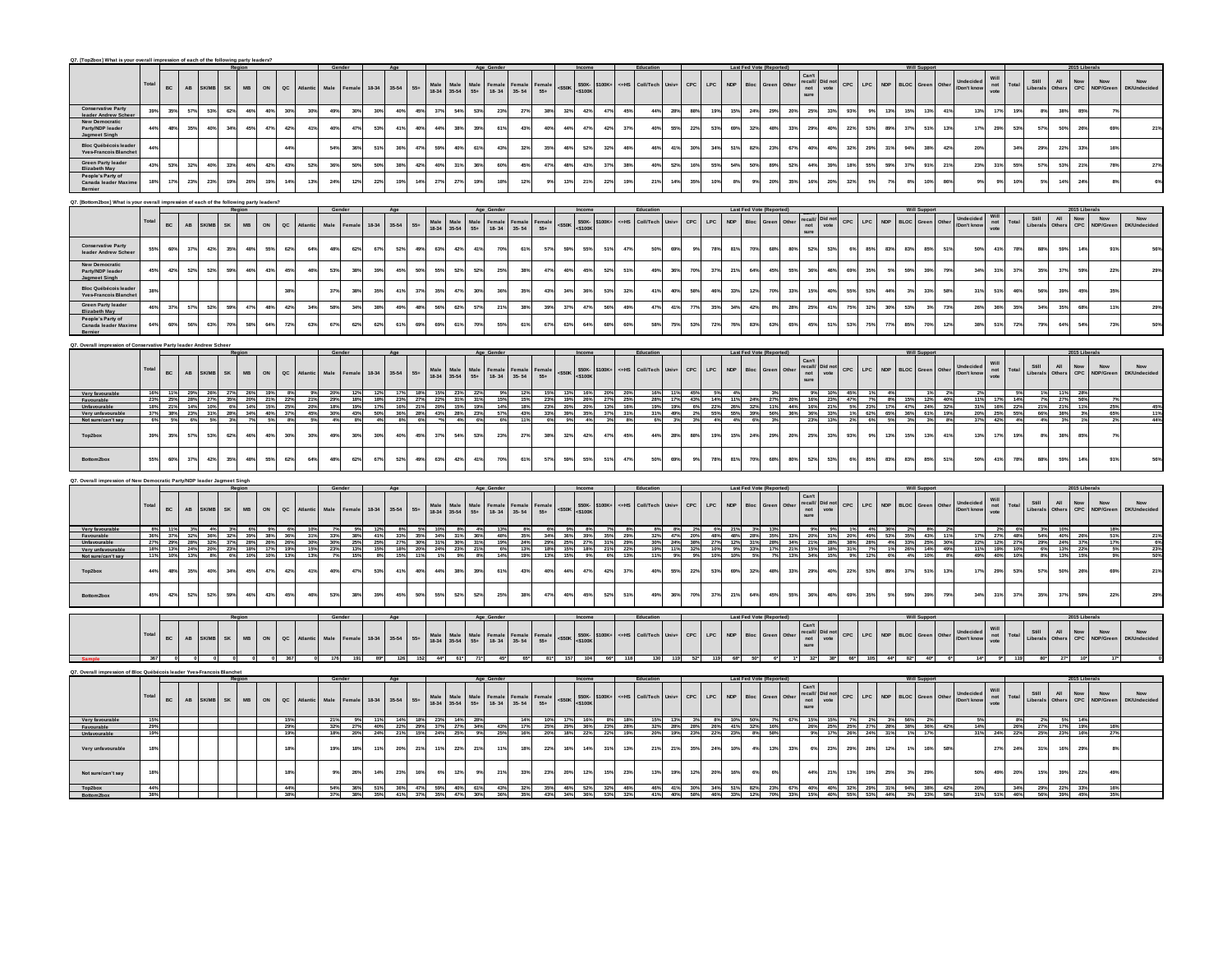| Q7. [Top2box] What is your overall impression of each of the following party leaders? |                                  |                                         |                        |                 |                                                                     |     |               |                     |                     |            |                     |            |                                                   |                                                                        |                |                           |                     |                 |                        |                              |                                            |            |             |                |                             | Last Fed Vote (Reported        |              |                                                                                         |                                                                                                                                                   |     |                             |                                                       |                        |                       |                         |                                                                    |                                  |                  |                                                     |                        |                   |                                        |
|---------------------------------------------------------------------------------------|----------------------------------|-----------------------------------------|------------------------|-----------------|---------------------------------------------------------------------|-----|---------------|---------------------|---------------------|------------|---------------------|------------|---------------------------------------------------|------------------------------------------------------------------------|----------------|---------------------------|---------------------|-----------------|------------------------|------------------------------|--------------------------------------------|------------|-------------|----------------|-----------------------------|--------------------------------|--------------|-----------------------------------------------------------------------------------------|---------------------------------------------------------------------------------------------------------------------------------------------------|-----|-----------------------------|-------------------------------------------------------|------------------------|-----------------------|-------------------------|--------------------------------------------------------------------|----------------------------------|------------------|-----------------------------------------------------|------------------------|-------------------|----------------------------------------|
|                                                                                       | Total                            | BC                                      | AB                     | SK/MI           | SK<br>$_{\rm MB}$                                                   | ON  | $_{\alpha c}$ |                     | Male                | Female     | 18-34               | $35 - 54$  | ${\bf 55+}$                                       | Male<br>18-34<br>$\begin{array}{c}\n\text{Male} \\ 35-54\n\end{array}$ | Male<br>55+    | Female<br>18-34           | Female<br>35-54     | Female<br>55+   | $<$ \$50K              | \$50K-<br>:\$100K<br>\$100K+ | $cH$ HS                                    | Coll/Tech  | Univ-       | CPC            | LPC.<br><b>NDP</b>          | Bloc                           | Green        | Can<br>recall/<br>not<br>Oth<br>sure                                                    | Did not                                                                                                                                           | CPC | LPC.                        | <b>NDP</b><br>BLOC.                                   | Green                  | Othe                  | Don't kne               | Will<br>not<br>vote                                                | Total                            | Still<br>ibera   | All<br>CPC.<br>Other                                | Now<br>Now<br>NDP/Cres |                   | $\mathsf{Now}$<br><b>DK/Linderider</b> |
| <b>Conservative Party</b><br>leader Andrew Sche                                       | 39%                              | 35%                                     | 57%                    | 53%             | 62%<br>46%                                                          | 40% | 30%           | 30%                 | 49%                 | 30%        | 30%                 | 40%        | 45%                                               | 37%                                                                    | 54%<br>53%     | 23%                       | 27%                 | 38%             | 32%                    | 42%                          | 47%<br>45%                                 | 44%        | 28%         | 88%            | 19%                         | 15%<br>24%                     | 29%          | 20%                                                                                     | 25%<br>33%                                                                                                                                        | 93% | 9%                          | 13%                                                   | 15%                    | 13%<br>41%            | 13%                     | 17%                                                                | 19%                              | 8%               | 38%                                                 | 85%                    | 7 <sup>9</sup>    |                                        |
| <b>New Democratio</b><br>Party/NDP leader<br>Jagmeet Singh                            | $44^{\circ}$                     | 48%                                     | 35%                    | 40              | 34%<br>45%                                                          | 47° | 42%           | 41%                 | 40%                 | 47%        | 53%                 | 41%        | 40%                                               | 44%                                                                    | 38%<br>39%     | 61%                       | 43%                 | 40              | 44%                    | 47%                          | 37%<br>42%                                 | 40%        | 55%         | 22%            | 53%                         | 69%<br>32%                     | 48%          | 33%                                                                                     | 29%<br>40%                                                                                                                                        | 22% | 53%                         | 89%                                                   | 51%<br>37 <sup>o</sup> | 13%                   | 17%                     | 29%                                                                | 53%                              | 57%              | 50                                                  | 26%                    | 69                |                                        |
| Bloc Québécois leade<br><b>Yves Francois Blanch</b>                                   | 44                               |                                         |                        |                 |                                                                     |     | 44%           |                     | 54%                 | 36%        | 51%                 | 36%        | 47%<br>59%                                        | 40%                                                                    | 61%            | 43%                       | 32%                 | 35              | 46%                    | 52%                          | 329<br>46%                                 | 46%        | 413         | 30%            | 34%                         | $82^{\circ}$<br>51%            | 23%          | 67%                                                                                     | 40%<br>40%                                                                                                                                        | 32% | 29%                         | 31%<br>94                                             | 385                    | 42%                   | 20%                     |                                                                    | $34^{\circ}$                     | 29%              | $22^{\circ}$                                        | 339                    |                   |                                        |
| <b>Green Party leader</b>                                                             | 43%                              | 53%                                     | 32%                    | 40 <sup>e</sup> | 33%<br>46%                                                          | 42% | 43%           | 52%                 | 36%                 | 50%        | 50%                 | 38%        | 42%                                               | 40%<br>31%                                                             | 36%            | 60%                       | 45%                 | 47%             | 48%                    | 43%                          | 37%<br>38%                                 | 40%        | 52%         | 16%            | 55%                         | 54%<br>50%                     | 89%          | 52%                                                                                     | 44%<br>39%                                                                                                                                        | 18% | 55%                         | 59%                                                   | $37^\circ$<br>91%      | 21%                   | 23%                     | 31%                                                                | 55%                              | 57%              | 53%                                                 | 21%                    | 78%               |                                        |
| Elizabeth May<br>People's Party of<br>Canada leader Maxin                             | 18%                              | 17%                                     | 23%                    | 23%             | 19%<br>26%                                                          | 19% | 14%           | 13%                 | 24%                 | 12%        | 22%                 | 19%        | 14%                                               | 27%<br>27%                                                             | 19%            | 18%                       | 12%                 |                 | 13%                    | 21%                          | 22%<br>19%                                 | 21%        | 14°         | 35%            | 105                         | 8%<br>95                       | 20%          | 35%                                                                                     | 16%<br>20%                                                                                                                                        | 32% | 5%                          |                                                       |                        | 10%<br>86%            |                         | 9%                                                                 | 10                               | 5%               | $14^{o}$                                            | 24%                    |                   |                                        |
| Bernier                                                                               |                                  |                                         |                        |                 |                                                                     |     |               |                     |                     |            |                     |            |                                                   |                                                                        |                |                           |                     |                 |                        |                              |                                            |            |             |                |                             |                                |              |                                                                                         |                                                                                                                                                   |     |                             |                                                       |                        |                       |                         |                                                                    |                                  |                  |                                                     |                        |                   |                                        |
| [Bottom2box] What is your overall impression of each of the following party leaders?  |                                  |                                         |                        |                 |                                                                     |     |               |                     |                     |            |                     |            |                                                   |                                                                        |                |                           |                     |                 |                        |                              |                                            |            |             |                |                             | Last Fed                       |              |                                                                                         |                                                                                                                                                   |     |                             |                                                       |                        |                       |                         |                                                                    |                                  |                  |                                                     |                        |                   |                                        |
|                                                                                       | Tota                             | <b>BC</b>                               | AB                     | <b>SK/MI</b>    | <b>SK</b><br>MB                                                     | ON  | $_{\sf ac}$   | Hlanti              | Male                | Femal      | 18-34               | 35-54      | Male<br>18-34<br>$55+$                            | Male                                                                   | Male<br>55+    | Female                    | Female<br>35-54     | Female          | $<$ S50K               | \$50K-<br><\$100K<br>\$100K+ | $ctt$ HS                                   | Coll/Tech  | Univ+       | CPC            | LPC                         | NDP<br>Bloc                    | Green        | $\frac{recall}{not}$<br>Othe                                                            | Did not<br>vote                                                                                                                                   | CPC | LPC                         | <b>NDP</b>                                            | <b>BLOC</b><br>Green   | Other                 | Indecide<br>Don't know  | $not$ not                                                          | Total                            | Still<br>Liberal | $\mathbf{All}$<br>$_{\rm{CPC}}^{\rm{Now}}$<br>Other | Now<br>NDP/Gree        |                   | Now<br>DK/Undecide                     |
|                                                                                       |                                  |                                         |                        |                 |                                                                     |     |               |                     |                     |            |                     |            |                                                   | 35-54                                                                  |                | $18 - 34$                 |                     | $55+$           |                        |                              |                                            |            |             |                |                             |                                |              | sure                                                                                    |                                                                                                                                                   |     |                             |                                                       |                        |                       |                         |                                                                    |                                  |                  |                                                     |                        |                   |                                        |
| <b>Conservative Party</b><br>leader Andrew Sch                                        | 55%                              | 60%                                     | 37%                    | 42%             | 35%<br>48%                                                          | 55% | 62%           | 64%                 | 48%                 | 62%        | 67%                 | 52%        | 49%                                               | 63%                                                                    | 42%<br>41%     | 70%                       | 61%                 | 57%             | 59%                    | 55%                          | 47%<br>519                                 | 50%        | 69%         | 9%             | 78%                         | 81%<br>70%                     | 68%          | 80%                                                                                     | 52%<br>53%                                                                                                                                        | 6%  | 85%                         | 83%                                                   | 83%                    | 85%<br>51%            | 50%                     | 41%                                                                | 78%                              | 88%              | 59%                                                 | 14%                    | 91                |                                        |
| New Democratic<br>Party/NDP leader<br>Jagmeet Singh                                   | 45%                              | 42%                                     | 52%                    | 52%             | 59%<br>46%                                                          | 43% | 45%           | 46%                 | 53%                 | 38%        | 39%                 | 45%        | 50%                                               | 55%<br>52%                                                             | 52%            | 25%                       | 38%                 | 47%             | 40%                    | 45%                          | 52%<br>51%                                 | 49%        | 36%         | 70%            | 37%                         | 21%<br>64%                     | 45%          | 55%                                                                                     | 36%<br>46%                                                                                                                                        | 69% | 35%                         | 5%                                                    | 39%<br>599             | 79%                   | 34%                     | 31%                                                                | 37%                              | 35%              | 37 <sup>o</sup>                                     | 59%                    | 22 <sup>9</sup>   |                                        |
| <b>Bloc Québécois leade</b><br><b>Yves-Francois Blanche</b>                           | 38                               |                                         |                        |                 |                                                                     |     | 38%           |                     | 37%                 | 38%        | 35%                 | 41%        | 37%                                               | 35%<br>47%                                                             | 30%            | 36%                       | 35%                 | 43%             | 34%                    | 36%                          | 53%<br>32%                                 | 41%        | 40%         | 58%            | 46%                         | 33%<br>12 <sup>9</sup>         | 70%          | 33%                                                                                     | 15%<br>40%                                                                                                                                        | 55% | 53%                         | 44%                                                   | 3 <sup>o</sup><br>33%  | 58%                   | 31%                     | 51%                                                                | 46°                              | <b>S65</b>       | 39'                                                 | 45%                    | 355               |                                        |
| <b>Green Party leader</b><br>Elizabeth May                                            | 46                               | 37%                                     | 57%                    | 52%             | 47%<br>59%                                                          | 48% | 42%           | 34%                 | 58%                 | 34%        | 38%                 | 49%        | 48%                                               | 62%<br>56%                                                             | 57%            | 21%                       | 38%                 | 39%             | 37%                    | 47%                          | 49%<br>56%                                 | 47%        | 41%         | 77%            | 35%                         | 34%<br>42%                     | 8%           | 28%                                                                                     | 25%<br>41%                                                                                                                                        | 75% | 32%                         | 30%                                                   | 53%                    | 73%<br>3 <sup>9</sup> | 26%                     | 36%                                                                | 35%                              | 34%              | 35%                                                 | 68%                    | 11%               |                                        |
| People's Party of<br>Canada leader Maxi                                               | 64                               | 60%                                     | 56%                    | 639             | 70%<br>58%                                                          | 64% | 72%           | 63%                 | 67%                 | 62%        | 62%                 | 61%        | 69%<br>69%                                        | 61%                                                                    | 70%            | 55%                       | 61%                 | 675             | 63%                    | 64%                          | 60%<br>68                                  | 58%        | 75          | 53%            | 72 <sup>°</sup>             | 76%<br>83                      | 63%          | 65%                                                                                     | 51%<br>45%                                                                                                                                        | 53% | 75%                         | 77%                                                   | 85                     | 70%<br>12%            | 38%                     | 51                                                                 | 725                              |                  | 64                                                  | 54%                    | 735               |                                        |
|                                                                                       |                                  |                                         |                        |                 |                                                                     |     |               |                     |                     |            |                     |            |                                                   |                                                                        |                |                           |                     |                 |                        |                              |                                            |            |             |                |                             |                                |              |                                                                                         |                                                                                                                                                   |     |                             |                                                       |                        |                       |                         |                                                                    |                                  |                  |                                                     |                        |                   |                                        |
| . Overall impression of Conservative Party leader Andrew Schee                        |                                  |                                         |                        |                 |                                                                     |     |               |                     |                     |            |                     |            |                                                   |                                                                        |                |                           |                     |                 |                        |                              |                                            |            |             |                |                             | Last Fed Vote (Reporter        |              |                                                                                         |                                                                                                                                                   |     |                             |                                                       |                        |                       |                         |                                                                    |                                  |                  | 2015 Li                                             |                        |                   |                                        |
|                                                                                       | Total                            | <b>BC</b>                               |                        |                 |                                                                     |     | $_{\alpha c}$ |                     |                     |            |                     |            |                                                   | Male                                                                   |                | Female                    | Female              | Female          |                        | \$50K-\$100K+<br><\$100K     | $c = HS$                                   | Coll/Tech  | Univ-       | CPC            | LPC                         | NDP<br>Bloc                    | <b>Green</b> | Can't<br>Othe                                                                           | Did not                                                                                                                                           | CPC | LPC                         | <b>NDP</b>                                            | <b>BLOC</b><br>Green   | Othe                  | Undecided<br>Don't know | Will<br>not<br>vote                                                | Total                            | Still            | All<br>Now<br>CPC                                   | Now                    | DK/Undecia        | Now                                    |
|                                                                                       |                                  |                                         | $\mathbf{A}\mathbf{B}$ | SK/MB           | $\ensuremath{\mathsf{MB}}\xspace$<br>SK                             | ON  |               | <b>Atlantic</b>     | Male                | Female     | 18-34               | $35 - 54$  | Male<br>18-34<br>$55+$                            | $35 - 54$                                                              | Male<br>55+    | $18 - 34$                 | $35 - 54$           | $55+$           | $<$ \$50K              |                              |                                            |            |             |                |                             |                                |              | recall/<br>not<br>sure                                                                  | vote                                                                                                                                              |     |                             |                                                       |                        |                       |                         |                                                                    |                                  | iberal           | Other                                               | NDP/Gree               |                   |                                        |
| Very favourable<br>Favourable                                                         | 23%                              | 11%                                     | 29%                    | 26%             | 27%<br>26%<br>25% 28% 27% 35% 20% 21% 22%                           | 19% |               | 21%                 | 20%<br>29%          | 12%<br>18% | 12%<br>18%          | 17%        | 18%<br>23% 27% 22% 31% 31%                        | 15%                                                                    | 23%<br>$^{22}$ | 15%                       | 12%<br>15%          | 15%             | 13%<br>23% 19% 26%     | 16%                          | 20% 20%<br>27% 25%                         | <b>28%</b> |             | 11% 45%        | 5%                          | 4%<br>17% 43% 14% 11% 24% 27%  |              | 20% 16% 23%                                                                             | 9%                                                                                                                                                | 45% | 47% 7% 8%                   |                                                       | 15%                    | 12% 40%               | 11%                     |                                                                    | 17% 14%                          | 1%               | 11%<br>7% 27% 56%                                   | 28%                    |                   |                                        |
| Unfavourable<br>Very unfavourable                                                     | 18%<br>37%                       | 21%<br>38%                              | 14%<br>23%             | 10%<br>31%      | 6% 14% 15% 25%<br>34%<br>28%                                        |     | 40% 37%       | $\frac{20\%}{45\%}$ | 18%<br>30%          | 19%<br>43% | 17%<br>50%          | 36%        | 16% 21% 20% 15% 19%<br>28%                        | 43% 28%                                                                | 23%            | 14%<br>57%                | 18%<br>43%          | 33%             | 23% 20% 20%<br>39%     | 35%                          | 13% 16%<br>37% 31%                         | 19%<br>319 |             |                |                             |                                |              | 19% 6% 22% 26% 32% 11% 44% 16% 21%<br>49% 2% 55% 55% 39% 56% 36% 36% 37%                |                                                                                                                                                   |     | 5% 23%<br>1% 62%            | 17% 47%<br>65%                                        | 61%<br>36%             | 24% 32%<br>19%        | 31%<br>20%              |                                                                    | 16% 22%<br>25% 55%               | 66% 38%          | 21% 21% 11%                                         | 3%                     | 25%               |                                        |
| Not sure/can't say                                                                    |                                  |                                         |                        |                 |                                                                     |     |               |                     |                     |            |                     |            | 6%                                                |                                                                        |                |                           |                     |                 |                        |                              |                                            |            |             |                |                             |                                |              |                                                                                         |                                                                                                                                                   |     |                             | 5%                                                    |                        |                       |                         |                                                                    |                                  |                  |                                                     |                        |                   |                                        |
| Top2box                                                                               | 39%                              | 35%                                     | 57%                    | 539             | 62%<br>46%                                                          | 40% | 30%           | 30%                 | 49%                 | 30%        | 30%                 | 40%        | 45%                                               | 37%<br>54%                                                             | 53%            | 23%                       | 27%                 | 38              | 32%                    | 42%                          | 45%<br>47%                                 | 44%        | 28%         | 88%            | 19%                         | 15%<br>$24^{\circ}$            | 29%          | 20%                                                                                     | 25%<br>33%                                                                                                                                        | 93% | 9%                          | 13%                                                   | 13%<br>15%             | 41%                   | 13%                     | 17%                                                                | 19%                              | 8%               | $38^{\circ}$                                        | 85%                    |                   |                                        |
| Bottom2box                                                                            | 55%                              | 60%                                     | 37%                    | 42%             | 35%<br>48%                                                          | 55° | 62%           | 64%                 | 48%                 | 62%        | 67%                 | 52%        | 49%                                               | 63%                                                                    | 42%<br>41%     | 70%                       | 61%                 | 57°             | 59%                    | 55%                          | 47%<br>51                                  | 50%        | 69          | 9 <sup>9</sup> | 78%                         | 81%<br>70%                     | 68%          | 80%                                                                                     | 52%<br>53%                                                                                                                                        |     | 85%                         | 83%                                                   | 83°<br>85%             | 51%                   | 50%                     | 41%                                                                | 78%                              |                  | 59                                                  | 14%                    |                   |                                        |
| <b>Overall impression of New Der</b>                                                  |                                  | nocratic Party/NDP leader Jagmeet Singh |                        |                 |                                                                     |     |               |                     |                     |            |                     |            |                                                   |                                                                        |                |                           |                     |                 |                        |                              |                                            |            |             |                |                             |                                |              |                                                                                         |                                                                                                                                                   |     |                             |                                                       |                        |                       |                         |                                                                    |                                  |                  |                                                     |                        |                   |                                        |
|                                                                                       |                                  |                                         |                        |                 |                                                                     |     |               |                     | Gender              |            |                     | Age        |                                                   |                                                                        |                | Age_Gender                |                     |                 |                        | Income                       |                                            | Education  |             |                |                             | Last Fed Vote (Reported)       |              | Can't                                                                                   |                                                                                                                                                   |     |                             |                                                       | <b>Will Suppor</b>     |                       |                         |                                                                    |                                  |                  |                                                     | 2015 Liberals          |                   |                                        |
|                                                                                       | Total                            | BC                                      | $\mathsf{AB}$          | SK/MB           | SK<br>$\mathsf{MB}$                                                 | ON  | QC            |                     | Male                | Female     | 18-34               | 35-54      | Male<br>18-34<br>$55+$                            | Male<br>$35 - 54$                                                      | Male<br>55+    | Female<br>$18 - 34$       | Female<br>$35 - 54$ | Female<br>$55+$ | $<$ \$50K              | \$50K-\$100K+<br><\$100K     | $cH$ HS                                    | Coll/Tech  | Univ-       | CPC            | LPC                         | <b>NDP</b><br>Bloc             | Green        | recall/<br>not<br>Othe                                                                  | Did not<br>vote                                                                                                                                   | CPC | LPC                         | <b>NDP</b>                                            | <b>BLOC</b><br>Green   | Othe                  | Indecided<br>Don't know | Will<br>not<br>vote                                                | Total                            | Still<br>.iberal | $\mathsf{All}$<br>$Now$<br>CPC<br>Other             | Now<br>NDP/Gree        | DK/Line           | Now                                    |
|                                                                                       |                                  |                                         |                        |                 |                                                                     |     |               |                     |                     |            |                     |            |                                                   |                                                                        |                |                           |                     |                 |                        |                              |                                            |            |             |                |                             |                                |              | sure                                                                                    |                                                                                                                                                   |     |                             |                                                       |                        |                       |                         |                                                                    |                                  |                  |                                                     |                        |                   |                                        |
| Very favoura<br>Favourable<br>Unfavourable                                            | 8%<br>36 <sup>o</sup><br>27%     | 11%                                     | 3%                     | 4%              | 3% 6%<br>37% 32% 36% 32% 39% 38% 36%<br>29% 28% 32% 37% 28% 26% 26% | 9%  | 6%            | 10%<br>31%          | 7%<br>33%           | 9%<br>38%  | 12%<br>41%          | 8%         | 5% 10%<br>33% 35% 34% 31% 36%                     |                                                                        | 8%<br>4%       | 13%<br>48%                | 8%<br>35%           | 6%              | 9%<br>34% 36% 39%      | 8%                           | 7%<br>8%<br>35% 29%                        | 32%<br>30% | 8%          | 2%             |                             | 6% 21% 3% 13%                  |              | 9%<br>47% 20% 48% 48% 28% 35% 33% 20% 31%                                               | 9%                                                                                                                                                |     | 1% 4%                       | 36%<br>20% 49% 53% 35%                                | 2%                     | 8%<br>43% 11%         | 17%<br>22%              |                                                                    | $\frac{2\%}{27\%}$ 6%<br>27% 48% | 3% 10%           | 54% 40%                                             | 26%                    | 18%<br>51%<br>17% |                                        |
| Very unfavourable<br>Not sure/can't say                                               | 18%                              |                                         | 13%                    | 8%              | 13% 24% 20% 23% 18% 17% 19%<br>6%<br>10%                            | 10% |               | $\frac{30\%}{15\%}$ | $\frac{30\%}{23\%}$ | 25%<br>13% | $\frac{25\%}{15\%}$ |            | 27% 30% 31% 30% 31%<br>18% 20% 24% 23% 21%<br>11% |                                                                        | 9%<br>8%       | $\frac{19\%}{6\%}$<br>14% | $\frac{24\%}{13\%}$ | 13%             |                        |                              | 29% 25% 27% 31% 29%<br>18% 15% 18% 21% 22% | 19%        |             | 9%             |                             | 10%<br>5%                      |              | 24% 38% 27% 12% 31% 28% 34% 21% 28%<br>11% 32% 10% 9% 33% 17% 21% 15% 18%<br>13%<br>34% | 15%                                                                                                                                               |     |                             | 38% 28% 4% 33% 25% 30%<br>31% 7% 1% 26% 14% 49%<br>6% |                        |                       | 11%                     |                                                                    | 12% 27%<br>19% 10%               |                  | 29% 24% 37%<br>6% 13% 22%<br>13%                    |                        | 5%                |                                        |
| Top2box                                                                               | $44^{\circ}$                     | 48%                                     | 35%                    | 40              | 34%<br>45%                                                          | 47% | 42%           | 41%                 | 40%                 | 47%        | 53%                 | 41%        | 40%                                               | 44%<br>38%                                                             | 39%            | 61%                       | 43%                 | 40              | 44%                    | 47%                          | 37%<br>42%                                 | 40%        | 55%         | 22%            | 53%                         | 69%<br>$32^{\circ}$            | 48%          | 33%                                                                                     | 29%<br>40%                                                                                                                                        | 22% | 53%                         | 89%                                                   | $37^{\circ}$<br>51%    | 13%                   | 17%                     | 29%                                                                | 53%                              | 57%              | 50                                                  | 26%                    | 695               |                                        |
| Rottom2box                                                                            | 45%                              | 42%                                     | 52%                    | 52%             | 59%<br>46%                                                          | 43% | 45%           | 46%                 | 53%                 | 38%        | 39%                 | 45%        | 50%                                               | 55%<br>52%                                                             | 52%            | 25%                       | 38%                 | 475             | 40%                    | 45%                          | 52%<br>51%                                 | 49%        | 36%         | 70%            | 37%                         | 21%<br>64%                     | 45%          | 55%                                                                                     | 36%<br>46%                                                                                                                                        | 69% | 35%                         | 5%                                                    | 39%<br>599             | 79%                   | 34%                     | 31%                                                                | 37%                              | 35%              | 37 <sup>o</sup>                                     | 59%                    | 22%               |                                        |
|                                                                                       |                                  |                                         |                        |                 |                                                                     |     |               |                     |                     |            |                     |            |                                                   |                                                                        |                |                           |                     |                 |                        |                              |                                            |            |             |                |                             |                                |              |                                                                                         |                                                                                                                                                   |     |                             |                                                       |                        |                       |                         |                                                                    |                                  |                  |                                                     |                        |                   |                                        |
|                                                                                       |                                  |                                         |                        |                 |                                                                     |     |               |                     |                     |            |                     |            |                                                   |                                                                        |                |                           |                     |                 |                        |                              |                                            | Educati    |             |                |                             | Last Fed Vote (Report          |              |                                                                                         |                                                                                                                                                   |     |                             |                                                       |                        |                       |                         |                                                                    |                                  |                  |                                                     |                        |                   |                                        |
|                                                                                       | Total                            | BC                                      | $\mathbf{A}\mathbf{B}$ | K/MB            | SK<br>$_{\rm MB}$                                                   | ON  | $\alpha c$    | Atlantic            | Male                | Female     | 18-34               | $35 - 54$  | Male<br>18-34<br>$55+$                            | Male<br>35-54                                                          | Male<br>55+    | Female<br>18-34           | Female<br>35-54     | Female<br>55+   | $<$ \$50K              | \$50K-<br>c\$100K<br>\$100K+ | c=HS                                       | Coll/Tech  | Univ-       | CPC            | $\ensuremath{\mathsf{LPC}}$ | NDP<br>Bloc                    |              |                                                                                         | $\begin{array}{ll} \mathtt{Can't} \\ \mathtt{recall} \end{array} \begin{array}{ll} \mathtt{Did~not} \\ \mathtt{not} \\ \mathtt{vote} \end{array}$ | CPC | $\ensuremath{\mathsf{LPC}}$ | <b>NDP</b><br><b>BLOC</b>                             | Green                  | Othe                  | Indecided<br>Don't know | Will<br>$\begin{array}{c}\n\text{not} \\ \text{vote}\n\end{array}$ | Total                            | Still<br>Liberal | All<br>$_{\rm{CPC}}^{\rm{Now}}$<br>Other            | Now<br>NDP/Greer       |                   | <b>Now</b><br><b>DK/Undecide</b>       |
|                                                                                       |                                  |                                         |                        |                 |                                                                     |     |               |                     |                     |            |                     |            |                                                   |                                                                        |                |                           |                     |                 |                        |                              |                                            |            |             |                |                             |                                |              |                                                                                         |                                                                                                                                                   |     |                             |                                                       |                        |                       |                         |                                                                    |                                  |                  |                                                     |                        |                   |                                        |
|                                                                                       |                                  |                                         |                        |                 |                                                                     |     | 367           |                     |                     |            |                     |            |                                                   |                                                                        | 61*            |                           |                     |                 |                        |                              |                                            |            |             |                |                             |                                |              |                                                                                         | $32^{\circ}$<br>$38^{\circ}$                                                                                                                      |     |                             |                                                       |                        |                       |                         | 9*1                                                                |                                  | $80^{\circ}$     |                                                     |                        |                   |                                        |
| Q7. Overall impression of Bloc Québécois leader Yves-Francois Blanchet                |                                  |                                         |                        |                 |                                                                     |     |               |                     |                     |            |                     | Age        |                                                   |                                                                        |                | Age Gende                 |                     |                 |                        |                              |                                            | Education  |             |                |                             | Last Fed Vote (Reported)       |              |                                                                                         |                                                                                                                                                   |     |                             |                                                       | <b>Will Suppe</b>      |                       |                         |                                                                    |                                  |                  |                                                     | erals                  |                   |                                        |
|                                                                                       | Total                            | BC                                      | $\mathsf{A}\mathsf{B}$ | <b>SK/MI</b>    | $_{\rm MB}$<br><b>SK</b>                                            | ON  | $_{\alpha}$   |                     | Male                | emal       | 18-34               | $35 - 54$  | Male<br>18-34<br>$55\div$                         | Male<br>35-54                                                          | Male<br>55+    | Female<br>$18 - 34$       | Female<br>$35 - 54$ | Female<br>$55+$ | $<$ \$50K              | \$50K-<br>c\$100K<br>\$100K  | $cH$ HS                                    | Coll/Tech  | <b>Univ</b> | CPC            | LPC<br><b>NDP</b>           | Bloc                           | Green        | Can't<br>recall/<br>not<br>sure<br>Othe                                                 | Did no<br>vote                                                                                                                                    | CPC | LPC                         | <b>NDP</b>                                            | <b>BLOC</b><br>Green   | Othe                  | Don't know              | Will<br>not<br>vote                                                | Total                            | Still<br>Liberal | All<br>Now<br>CPC<br>Other                          | Now<br>NDP/Gree        |                   | <b>Now</b><br>DK/Undecide              |
| Very favourabl                                                                        |                                  |                                         |                        |                 |                                                                     |     | 15%           |                     | 21%                 | 9%         | 11%                 | 14%        | 18%                                               | 23%                                                                    | 14%<br>28%     |                           | 14%                 | 10%             | 17%                    | 16%                          | 8% 18%                                     | 15%        | 13%         | $3\%$          | $8\%$                       | 10%<br>50%                     |              | 67% 15%                                                                                 | 15%                                                                                                                                               | 7%  | 2%                          | 3%                                                    | 56%                    | 2%                    |                         |                                                                    | 89                               | 2%               |                                                     | 14%                    |                   |                                        |
| Favourabl<br>Unfavourable                                                             | $-29^{\circ}$<br>19 <sup>5</sup> |                                         |                        |                 |                                                                     |     | 29%<br>19%    |                     | 32%<br>18%          | 27%<br>20% | 40%<br>24%          | 22%<br>21% | 29% 37%<br>15% 24%                                | 25%                                                                    | 27% 34%<br>9%  | 43%<br>25%                | 17%<br>16%          | 20%             | 25% 29% 36%<br>18% 22% |                              | 23% 28%<br>22% 19%                         | 32%<br>20% |             | 19% 23% 22%    |                             | 28% 28% 26% 41% 32% 16%<br>23% | 8% 58%       |                                                                                         | 26% 25%<br>9%<br>17%                                                                                                                              |     | 25% 27%<br>26% 24%          | 28% 38%<br>31%                                        | 17%                    | 36% 42%               | 14%<br>31%              |                                                                    | $-26%$<br>24% 22%                | 27%<br>25%       | 17%<br>19%<br>23%                                   | 16%                    | 16%<br>27%        |                                        |
|                                                                                       |                                  |                                         |                        |                 |                                                                     |     |               |                     |                     |            |                     |            |                                                   |                                                                        |                |                           |                     |                 |                        |                              |                                            |            |             |                |                             |                                |              |                                                                                         |                                                                                                                                                   |     |                             |                                                       |                        |                       |                         |                                                                    |                                  |                  |                                                     |                        |                   |                                        |
| Very unfavourable                                                                     | 18                               |                                         |                        |                 |                                                                     |     | 18%           |                     | 19%                 | 18%        | 11%                 | 20%        | 21%                                               | 119                                                                    | 22%<br>21%     | 11%                       | 18%                 | 22%             | 16%                    | 14%                          | 312<br>13%                                 | 21%        | 21°         | 35%            | 24%                         | 10%<br>4%                      | 13%          | 33%                                                                                     | 6%<br>23%                                                                                                                                         | 29% | 28%                         | 12%                                                   |                        | 16%<br>58%            |                         | 27                                                                 | $24^{o}$                         | 31%              | 16                                                  | 29%                    |                   |                                        |

**Top2box 44% 44% 54% 36% 51% 36% 47% 59% 40% 61% 43% 32% 35% 46% 52% 32% 46% 46% 41% 30% 34% 51% 82% 23% 67% 40% 40% 32% 29% 31% 94% 38% 42% 20% 34% 29% 22% 33% 16% Bottom2box 38% 38% 37% 38% 35% 41% 37% 35% 47% 30% 36% 35% 43% 34% 36% 53% 32% 41% 40% 58% 46% 33% 12% 70% 33% 15% 40% 55% 53% 44% 3% 33% 58% 31% 51% 46% 56% 39% 45% 35%**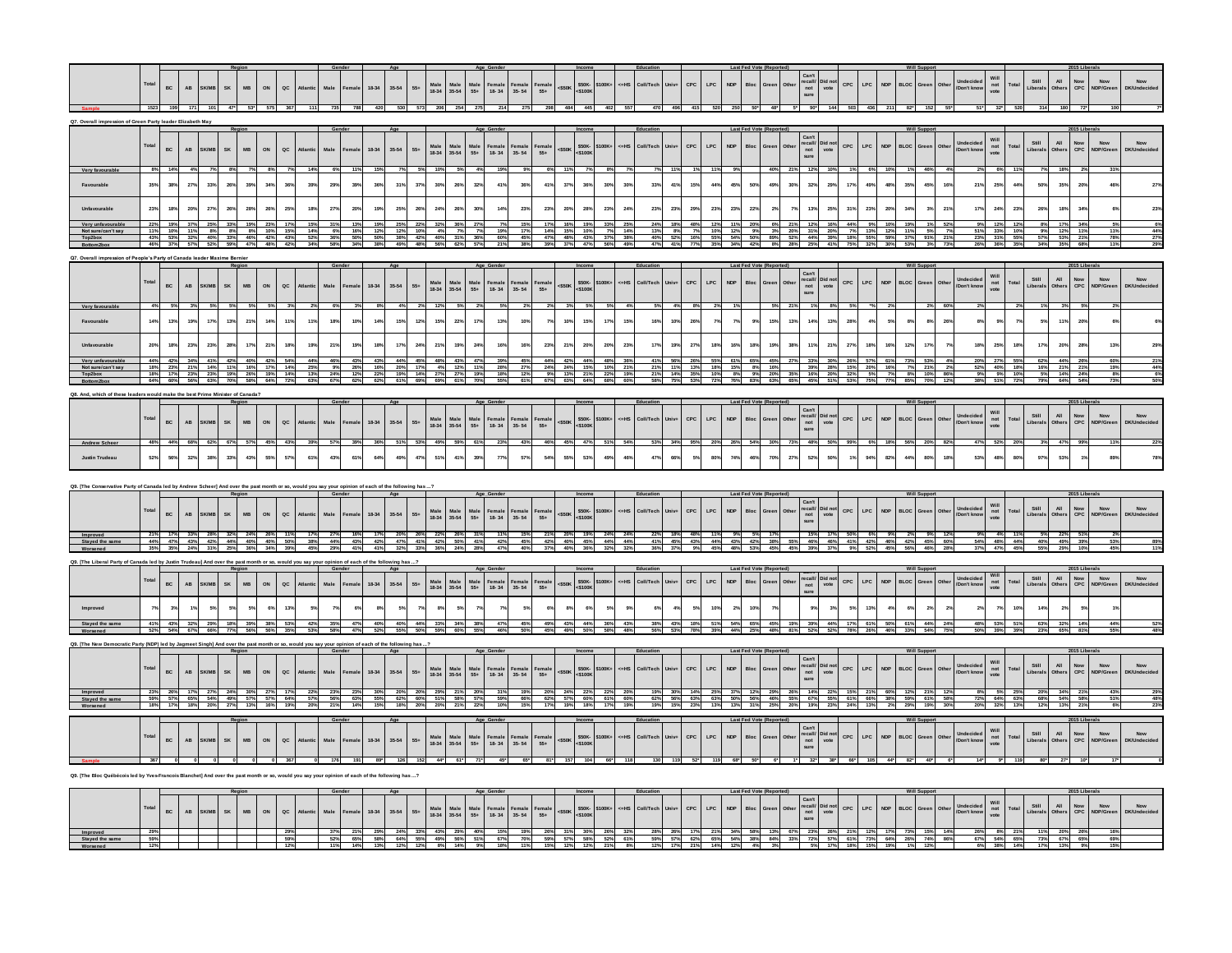|                                                               |       | BC                                                         | $\mathbf{A}\mathbf{B}$ | SK<br>SK/MB                |         | MB<br>ON                                                    | $\sf{ac}$   |         | Male            | Female | 18-34    | $35 - 54$                | $55*$ Male Male<br>18-34 35-54 |                                                                                                                   | $\begin{array}{c}\n\text{Male} \\ 55+\end{array}$           | $\begin{array}{c}\n\textbf{Female} \\ \textbf{18-34}\n\end{array}$ | $\begin{array}{c}\n\textbf{Female} \\ 35-54\n\end{array}$ | Female<br>55+                                                  | \$50K-<br><\$100K<br><\$50K                                                                                                                                                                                                                                                                                                                                                                                                                                                                                                                                                                                                                                                                                                                                                                                                                 | \$100K+                     | <=HS    |           |      | CPC                     | $\ensuremath{\mathsf{LPC}}$<br>$\ensuremath{\mathsf{NDP}}\xspace$ | Bloc                          |     |      | $\begin{array}{ll} \mathtt{Can't} \\ \mathtt{recall/} \\ \mathtt{not} \\ \mathtt{such} \end{array}$                        | CPC         | $\ensuremath{\mathsf{LPC}}$ | <b>NDP</b>                         | <b>BLOC</b><br>Green | Other      | Undecided<br>Don't know  | Will<br>not<br>vote                                        |                           | Still<br>Liberals            | All<br>Others              | Now<br>NDP/Greet<br>$_{\rm{CPC}}^{\rm{Now}}$                               |     | Now                                |
|---------------------------------------------------------------|-------|------------------------------------------------------------|------------------------|----------------------------|---------|-------------------------------------------------------------|-------------|---------|-----------------|--------|----------|--------------------------|--------------------------------|-------------------------------------------------------------------------------------------------------------------|-------------------------------------------------------------|--------------------------------------------------------------------|-----------------------------------------------------------|----------------------------------------------------------------|---------------------------------------------------------------------------------------------------------------------------------------------------------------------------------------------------------------------------------------------------------------------------------------------------------------------------------------------------------------------------------------------------------------------------------------------------------------------------------------------------------------------------------------------------------------------------------------------------------------------------------------------------------------------------------------------------------------------------------------------------------------------------------------------------------------------------------------------|-----------------------------|---------|-----------|------|-------------------------|-------------------------------------------------------------------|-------------------------------|-----|------|----------------------------------------------------------------------------------------------------------------------------|-------------|-----------------------------|------------------------------------|----------------------|------------|--------------------------|------------------------------------------------------------|---------------------------|------------------------------|----------------------------|----------------------------------------------------------------------------|-----|------------------------------------|
|                                                               |       |                                                            |                        |                            |         |                                                             |             |         |                 |        |          |                          |                                |                                                                                                                   |                                                             |                                                                    |                                                           |                                                                |                                                                                                                                                                                                                                                                                                                                                                                                                                                                                                                                                                                                                                                                                                                                                                                                                                             |                             |         |           |      |                         |                                                                   |                               |     |      |                                                                                                                            |             |                             |                                    |                      |            |                          |                                                            |                           |                              |                            |                                                                            |     |                                    |
|                                                               |       | ion of Green Party leader Elizabeth Ma                     |                        |                            |         |                                                             |             |         |                 |        |          |                          |                                |                                                                                                                   |                                                             |                                                                    |                                                           |                                                                |                                                                                                                                                                                                                                                                                                                                                                                                                                                                                                                                                                                                                                                                                                                                                                                                                                             |                             |         |           |      |                         |                                                                   |                               |     |      |                                                                                                                            |             |                             |                                    |                      |            |                          |                                                            |                           |                              |                            |                                                                            |     |                                    |
|                                                               |       | BC                                                         | $\mathbf{A}\mathbf{B}$ | SK<br><b>SK/MB</b>         |         | ON<br><b>MB</b>                                             | $_{\sf ac}$ |         | Male            |        | 18-34    | $35 - 54$<br>$55+$       |                                | $\begin{array}{r}\n\text{Male} \\ 18-34\n\end{array}\n\quad\n\begin{array}{r}\n\text{Male} \\ 35-54\n\end{array}$ | $\begin{array}{c}\n\text{Male} \\ 55+\end{array}$           | $\begin{array}{c}\n\textbf{Female} \\ \textbf{18-34}\n\end{array}$ | Female<br>35-54                                           | Female<br>55+                                                  | \$50K-<br><\$100K<br>$<$ \$50K                                                                                                                                                                                                                                                                                                                                                                                                                                                                                                                                                                                                                                                                                                                                                                                                              | \$100K                      | c=HS    |           |      | CPC                     | $\mathsf{LPC}$<br><b>NDP</b>                                      | <b>Bloc</b>                   |     |      | $\begin{array}{c} \text{Can't} \\ \text{recall/} \\ \text{not} \\ \text{sure} \end{array}$<br>Did not<br>vote              | CPC         | $\mathsf{LPC}$              | <b>NDF</b>                         | <b>BLOC</b>          |            | nacalaca<br>Jon't know   | Will<br>not<br>vote                                        |                           | Still<br>Liberals            | All<br>Other:              | Now<br>NDP/Gree<br>Now<br>CPC                                              |     | Now                                |
| Very favo<br>Favourable                                       |       | 38%                                                        | 27%                    | 33%                        | 26%     | 34%<br>39%                                                  | 36%         | 39%     | 29%             | 399    | 36%      | 31%                      | 30%<br>37%                     | 26%                                                                                                               | 32%                                                         | 41%                                                                | 36%                                                       |                                                                | 37%                                                                                                                                                                                                                                                                                                                                                                                                                                                                                                                                                                                                                                                                                                                                                                                                                                         | 36%<br>30%                  | 30%     | 33%       | 41%  | 15%                     | 44%                                                               | 45%<br>50%                    | 49% | 30%  | 29%<br>32%                                                                                                                 | 17%         | 49%                         | 48%                                | 35%                  | 45%<br>16% | 21%                      | 25%                                                        | 44%                       |                              | 35%                        | 20%                                                                        |     |                                    |
|                                                               | 23%   | 18%                                                        | 20%                    | 27%                        | 26%     | 26%<br>28%                                                  | 25%         |         | 27%             | 205    |          | 25%<br>26%               | 24%                            | 26%                                                                                                               | 30%                                                         | 14%                                                                | 23°                                                       | 23                                                             | 20%                                                                                                                                                                                                                                                                                                                                                                                                                                                                                                                                                                                                                                                                                                                                                                                                                                         | 28%<br>23%                  | 24%     | 23%       | 23%  | 295                     | 23%                                                               | 22 <sup>9</sup><br>23%        |     |      | 25%<br>13%                                                                                                                 | 31%         | 23%                         | 20%                                | 34 <sup>°</sup>      | 21%        | 17%                      | 24%                                                        | 23%                       |                              | 18 <sup>°</sup>            | 34%                                                                        |     |                                    |
| Not sure/can't sa                                             |       |                                                            |                        |                            |         |                                                             |             |         |                 |        |          |                          |                                |                                                                                                                   |                                                             |                                                                    |                                                           |                                                                |                                                                                                                                                                                                                                                                                                                                                                                                                                                                                                                                                                                                                                                                                                                                                                                                                                             |                             |         |           |      |                         |                                                                   |                               |     |      |                                                                                                                            |             |                             |                                    |                      |            |                          | 33%                                                        |                           |                              |                            |                                                                            |     |                                    |
|                                                               |       | le's Party of Canada leader Maxime Bernie                  |                        |                            |         |                                                             |             |         |                 |        |          |                          |                                |                                                                                                                   |                                                             |                                                                    |                                                           |                                                                |                                                                                                                                                                                                                                                                                                                                                                                                                                                                                                                                                                                                                                                                                                                                                                                                                                             |                             |         |           |      |                         |                                                                   |                               |     |      |                                                                                                                            |             |                             |                                    |                      |            |                          |                                                            |                           |                              |                            |                                                                            |     |                                    |
|                                                               |       | $_{\rm BC}$                                                | $\mathsf{A}\mathsf{B}$ | ${\sf SK}$<br><b>SK/MI</b> |         | <b>MB</b><br>ON                                             | $_{\sf QC}$ |         |                 |        | 18-34    | $35 - 54$<br>$55+$       |                                | Male Male<br>18-34 35-54                                                                                          | $\begin{array}{c} \text{Male} \\ 55+ \end{array}$           | Female<br>18-34                                                    | Female<br>35-54                                           | Female<br>55+                                                  | \$50K-<br><\$100K<br><\$50K                                                                                                                                                                                                                                                                                                                                                                                                                                                                                                                                                                                                                                                                                                                                                                                                                 | \$100K                      | $cH$ HS | Coll/Tec  |      | CPC                     | LPC<br><b>NDP</b>                                                 | Bloc                          |     |      | $\begin{array}{c}\n\text{Can't} \\ \text{recall/} \\ \text{not} \\ \text{sure}\n\end{array}$<br>Did not<br>vote            |             | $CPC$ $LPC$                 | <b>NDP</b>                         | <b>BLOC</b>          |            | Undecided<br>Don't know  | Will<br>not<br>vote                                        | Total                     | Still<br>Liberals            | All<br>Other               | Now<br>NDP/Gree<br>Now<br>CPC                                              |     | Now<br>that at                     |
|                                                               |       | 13%                                                        | 19%                    | 17%                        | 13%     | 14%<br>21%                                                  | 11%         | 119     | 18%             | 105    | $14^{o}$ | 15%                      | 15%<br>12%                     | 22%                                                                                                               | 17%                                                         | 13%                                                                | 10%                                                       |                                                                | 10%                                                                                                                                                                                                                                                                                                                                                                                                                                                                                                                                                                                                                                                                                                                                                                                                                                         | 15%<br>17%                  | 15%     | 16%       | 10%  | 26%                     |                                                                   | 7%<br>9%                      | 15% | 13%  | 13%<br>14%                                                                                                                 | 28%         | 4%                          | 5%                                 | 8%                   | 8%<br>26%  |                          | 8%<br>9%                                                   |                           | 5%                           | 113                        | 20%                                                                        |     |                                    |
|                                                               |       |                                                            | 23%                    |                            | 28%     |                                                             |             |         |                 |        |          |                          |                                | 19%                                                                                                               | 24%                                                         | 16%                                                                |                                                           |                                                                | 21%                                                                                                                                                                                                                                                                                                                                                                                                                                                                                                                                                                                                                                                                                                                                                                                                                                         | 20%                         | 23%     |           |      |                         | 18%                                                               |                               |     |      |                                                                                                                            |             | 18%                         |                                    | 12%                  |            |                          | 25%                                                        | 18%                       |                              |                            |                                                                            |     |                                    |
| Very unfavoura<br>Not sure/can't sa                           |       | 23% 21%<br>17%                                             | 23%                    | 14%<br>23% 19%             | 11% 16% | 19%<br>26%                                                  | 17% 14%     |         |                 |        |          |                          |                                |                                                                                                                   |                                                             |                                                                    |                                                           |                                                                |                                                                                                                                                                                                                                                                                                                                                                                                                                                                                                                                                                                                                                                                                                                                                                                                                                             |                             |         |           |      |                         |                                                                   |                               |     |      |                                                                                                                            |             |                             |                                    |                      |            | 52%                      | 27%                                                        | 40% 18%                   |                              |                            |                                                                            |     |                                    |
|                                                               |       |                                                            |                        |                            |         |                                                             |             |         |                 |        |          |                          |                                |                                                                                                                   |                                                             |                                                                    |                                                           |                                                                |                                                                                                                                                                                                                                                                                                                                                                                                                                                                                                                                                                                                                                                                                                                                                                                                                                             |                             |         |           |      |                         |                                                                   |                               |     |      |                                                                                                                            |             |                             |                                    |                      |            |                          |                                                            |                           |                              |                            |                                                                            |     |                                    |
|                                                               |       |                                                            |                        |                            |         |                                                             |             |         |                 |        |          |                          |                                |                                                                                                                   |                                                             |                                                                    |                                                           |                                                                |                                                                                                                                                                                                                                                                                                                                                                                                                                                                                                                                                                                                                                                                                                                                                                                                                                             |                             |         |           |      |                         |                                                                   |                               |     |      |                                                                                                                            |             |                             |                                    |                      |            |                          |                                                            |                           |                              |                            |                                                                            |     |                                    |
| <b>Andrew Scher</b>                                           |       | BC                                                         | $\mathsf{AB}$          | SK<br>SK/MB                |         | ON<br>MB                                                    | $\sf{QC}$   | Atlanti | Male            | emale  | 18-34    | $35 - 54$<br>$55+$       |                                | Male Male<br>18-34 35-54                                                                                          | $\begin{array}{c}\n\text{Male} \\ 55+\end{array}$           | Female<br>18-34                                                    | $\begin{array}{c}\n\textbf{Female} \\ 35-54\n\end{array}$ | Female<br>55+                                                  | \$50K-<br><\$100K<br>$<$ \$50K                                                                                                                                                                                                                                                                                                                                                                                                                                                                                                                                                                                                                                                                                                                                                                                                              | 100K                        |         |           |      | ${\tt CPC}$             | $\ensuremath{\mathsf{LPC}}$                                       |                               |     |      | $\begin{array}{c}\n\text{Can't} \\ \text{recall/} \\ \text{not} \\ \text{sure}\n\end{array}$<br>Did not<br>vote            | CPC         | LPC                         |                                    | BLOC                 |            | Jndecided<br>Jon't know  | Will<br>not<br>vote                                        |                           | Still<br>Liberals            | All<br>Others              | Now<br>NDP/Gree<br>Now<br>CPC                                              |     | Now<br>DK/Undeci                   |
|                                                               |       |                                                            | 32%                    |                            | 335     | 43%                                                         | 57%         |         | 43%             | 619    | 64%      | 49%                      | 51%<br>47%                     | 41%                                                                                                               | 39%                                                         | 77%                                                                | 57%                                                       |                                                                | 55%                                                                                                                                                                                                                                                                                                                                                                                                                                                                                                                                                                                                                                                                                                                                                                                                                                         | 53%                         | 46%     | 47%       |      |                         | 80%                                                               | 46%<br>74%                    | 70% | 27%  | 52%<br>50%                                                                                                                 |             | 94%                         | 82%                                | 44%                  | 80%<br>18% | 53%                      | 48%                                                        | 80%                       | 97%                          | 53%                        |                                                                            |     |                                    |
|                                                               |       |                                                            |                        |                            |         |                                                             |             |         |                 |        |          |                          |                                |                                                                                                                   |                                                             |                                                                    |                                                           |                                                                |                                                                                                                                                                                                                                                                                                                                                                                                                                                                                                                                                                                                                                                                                                                                                                                                                                             |                             |         |           |      |                         |                                                                   |                               |     |      |                                                                                                                            |             |                             |                                    |                      |            |                          |                                                            |                           |                              |                            |                                                                            |     |                                    |
|                                                               |       |                                                            |                        |                            |         |                                                             |             |         |                 |        |          |                          |                                |                                                                                                                   | Age Gende                                                   |                                                                    |                                                           |                                                                |                                                                                                                                                                                                                                                                                                                                                                                                                                                                                                                                                                                                                                                                                                                                                                                                                                             |                             |         |           |      |                         |                                                                   | <b>Last Fed Vote (Reporte</b> |     |      |                                                                                                                            |             |                             |                                    |                      |            |                          |                                                            |                           |                              |                            | 115 Liberals                                                               |     |                                    |
|                                                               | Total | BC                                                         | $\mathbf{A}\mathbf{B}$ | SK<br>SK/MB                |         | MB<br>ON                                                    | $\sf{oc}$   | Atlanti | Male            | Femal  | 18-34    | $35 - 54$<br>$55+$       |                                | Male<br>18-34 35-54                                                                                               | Male<br>$55+$                                               | Female<br>18-34                                                    | Female<br>35-54                                           | $\begin{array}{c} \textbf{Female} \\ \textbf{55+} \end{array}$ | \$50K-<br><\$100K<br>$<$ \$50K                                                                                                                                                                                                                                                                                                                                                                                                                                                                                                                                                                                                                                                                                                                                                                                                              | \$100K                      |         |           |      | CPC                     | LPC                                                               | Bloc                          |     |      | $\begin{array}{c} \text{Can't} \\ \text{recall/} \\ \text{not} \\ \text{sure} \end{array}$<br>Did not<br>vote              | CPC         | LPC                         |                                    | <b>BLOC</b>          |            | Undecided<br>Don't know  | Will<br>not<br>vote                                        | Total                     | Still All<br>Liberals Others |                            | Now<br>CPC<br>Now<br>NDP/Green                                             |     | Now<br>DK/Undeci                   |
| Improved                                                      |       | 47%                                                        | 43%                    | 42%                        | 44% 40% | 40%                                                         |             |         |                 |        | 42%      | 47%                      | 22%<br>42%                     | 26%<br>50% 41%                                                                                                    |                                                             |                                                                    | 45%                                                       |                                                                |                                                                                                                                                                                                                                                                                                                                                                                                                                                                                                                                                                                                                                                                                                                                                                                                                                             |                             |         |           |      |                         |                                                                   |                               |     |      | 46%<br>46%                                                                                                                 | 41%         | 42%                         | 46%                                | 42%                  | 45%        |                          | 48%                                                        |                           |                              |                            |                                                                            |     |                                    |
| Q9. [The Liberal Party of Canada led by Justin Trudeau] And o |       |                                                            |                        |                            |         |                                                             |             |         |                 |        |          |                          |                                |                                                                                                                   |                                                             |                                                                    |                                                           |                                                                |                                                                                                                                                                                                                                                                                                                                                                                                                                                                                                                                                                                                                                                                                                                                                                                                                                             |                             |         |           |      |                         |                                                                   |                               |     |      |                                                                                                                            |             |                             |                                    |                      |            |                          |                                                            |                           |                              |                            |                                                                            |     |                                    |
|                                                               |       | $_{\rm BC}$                                                | $\mathbf{A}\mathbf{B}$ | SK<br>SK/ME                |         | MB<br>ON                                                    | $\sf{QC}$   |         | Male            |        | 18-34    | $35 - 54$<br>$55\div$    | Male<br>18-34                  | $\begin{array}{c}\n\text{Male} \\ 35-54\n\end{array}$                                                             | Male<br>$55+$                                               | Female<br>18-34                                                    | Female<br>35-54                                           | Female<br>55+                                                  | \$50K-<br><\$100K<br><s50k< th=""><th>5100K</th><th></th><th>Coll/Tecl</th><th></th><th><math>\mathsf{c}\mathsf{PC}</math></th><th><math display="inline">\ensuremath{\mathsf{NDP}}\xspace</math><br/><math display="inline">\ensuremath{\mathsf{LPC}}</math></th><th>Bloc</th><th></th><th>Othe</th><th>recall/<br/>not<br/>sure<br/>Did not<br/>vote</th><th></th><th><math>CPC</math> <math>LPC</math></th><th><b>NDP</b></th><th>BLOC</th><th></th><th>Don't know</th><th><math display="block">\begin{array}{c}\n\text{not} \\ \text{vote}\n\end{array}</math></th><th>Total</th><th>Still<br/>Liberals</th><th>All<br/>Other:</th><th>Now<br/>NDP/Greer<br/><math display="inline">_{\mbox{\small\bf CO}}^{\mbox{\small\bf Now}}</math></th><th></th><th><math display="inline">\mathsf{Now}</math><br/><b>DK/Undeci</b></th></s50k<> | 5100K                       |         | Coll/Tecl |      | $\mathsf{c}\mathsf{PC}$ | $\ensuremath{\mathsf{NDP}}\xspace$<br>$\ensuremath{\mathsf{LPC}}$ | Bloc                          |     | Othe | recall/<br>not<br>sure<br>Did not<br>vote                                                                                  |             | $CPC$ $LPC$                 | <b>NDP</b>                         | BLOC                 |            | Don't know               | $\begin{array}{c}\n\text{not} \\ \text{vote}\n\end{array}$ | Total                     | Still<br>Liberals            | All<br>Other:              | Now<br>NDP/Greer<br>$_{\mbox{\small\bf CO}}^{\mbox{\small\bf Now}}$        |     | $\mathsf{Now}$<br><b>DK/Undeci</b> |
| Improve                                                       |       |                                                            |                        |                            | 5%      |                                                             | 13%         |         |                 |        |          |                          |                                |                                                                                                                   |                                                             |                                                                    |                                                           |                                                                |                                                                                                                                                                                                                                                                                                                                                                                                                                                                                                                                                                                                                                                                                                                                                                                                                                             |                             |         |           |      |                         |                                                                   | 10%                           |     |      |                                                                                                                            |             | 13%                         |                                    |                      |            |                          |                                                            | 10%                       |                              |                            |                                                                            |     |                                    |
|                                                               |       | 43%                                                        |                        | 29%                        | 18%     | 39%                                                         |             |         |                 |        |          | 40%                      | 33%                            | 34%                                                                                                               |                                                             |                                                                    |                                                           |                                                                |                                                                                                                                                                                                                                                                                                                                                                                                                                                                                                                                                                                                                                                                                                                                                                                                                                             |                             |         |           |      | 18%                     | 51%                                                               | 65%                           |     |      | 39%                                                                                                                        |             | 61%                         |                                    |                      |            |                          |                                                            |                           |                              |                            |                                                                            |     |                                    |
|                                                               |       | atic Party (NDP) led by Jagmeet Singh] And over the past m |                        |                            |         |                                                             |             |         |                 |        |          |                          |                                |                                                                                                                   |                                                             |                                                                    |                                                           |                                                                |                                                                                                                                                                                                                                                                                                                                                                                                                                                                                                                                                                                                                                                                                                                                                                                                                                             |                             |         |           |      |                         |                                                                   |                               |     |      |                                                                                                                            |             |                             |                                    |                      |            |                          |                                                            |                           |                              |                            |                                                                            |     |                                    |
|                                                               |       |                                                            |                        |                            |         |                                                             |             |         |                 |        |          |                          |                                |                                                                                                                   |                                                             |                                                                    |                                                           |                                                                |                                                                                                                                                                                                                                                                                                                                                                                                                                                                                                                                                                                                                                                                                                                                                                                                                                             |                             |         |           |      |                         |                                                                   |                               |     |      |                                                                                                                            |             |                             |                                    |                      |            |                          |                                                            |                           |                              |                            |                                                                            |     |                                    |
|                                                               |       | $_{\rm BC}$                                                | $\mathbf{A}\mathbf{B}$ | ${\sf SK}$<br>SK/MB        |         | $_{\rm MB}$<br>$_{\mathsf{ON}}$                             | $\sf{QC}$   | Atlanti | Male            | Female | $18-34$  | $35 - 54$<br>${\bf 55+}$ |                                | Male<br>18-34 35-54                                                                                               | $\begin{array}{c}\n\text{Male} \\ 55+\end{array}$           | Female<br>18-34                                                    | Female<br>35-54                                           | Female<br>55+                                                  | \$50K-<br><\$100K<br>$<$ \$50K                                                                                                                                                                                                                                                                                                                                                                                                                                                                                                                                                                                                                                                                                                                                                                                                              | \$100K+                     | <=HS    | Coll/Tech |      | $_{\mathsf{CPC}}$       | $\ensuremath{\mathsf{LPC}}$<br>NDP                                | Bloc                          |     | Othe | $\begin{array}{ll} \text{Can't} \\ \text{recall/} & \text{Did not} \\ \text{not} & \text{vote} \\ \text{sure} \end{array}$ |             | $CPC$ $LPC$                 | $\ensuremath{\mathsf{NDP}}\xspace$ | BLOC                 |            | Undecided<br>Don't know  | Will<br>not<br>vote                                        | Total                     | Still<br>Liberals            | All<br>Others              | Now<br>NDP/Greer<br>$_{\mbox{\small\bf CO}}^{\mbox{\small\bf Now}}$        |     | Now<br>DK/Undeci                   |
| Stayed the same                                               |       | 59% 57% 65% 54% 49% 57%                                    |                        |                            | 24%     |                                                             | 57% 64%     | 57%     | 56%             | 63%    | 55%      | 62% 60%                  |                                | 29% 21% 20%<br>51% 58% 57%                                                                                        |                                                             | 59%                                                                | 66%                                                       | 62%                                                            | 57%                                                                                                                                                                                                                                                                                                                                                                                                                                                                                                                                                                                                                                                                                                                                                                                                                                         | 60%<br>61%                  |         | 62%       | 56%  | 63%                     |                                                                   | 50%<br>56%                    |     | 55%  | 67% 55%                                                                                                                    |             | 61% 66%                     |                                    | 59% 61%              | 58%        |                          | 8% 5% 25%<br>72% 64% 63%                                   |                           |                              | 20% 34% 21%<br>68% 54% 58% |                                                                            | 51% |                                    |
|                                                               |       |                                                            |                        |                            |         |                                                             |             |         |                 |        |          |                          |                                |                                                                                                                   |                                                             |                                                                    |                                                           |                                                                |                                                                                                                                                                                                                                                                                                                                                                                                                                                                                                                                                                                                                                                                                                                                                                                                                                             |                             |         |           |      |                         |                                                                   |                               |     |      |                                                                                                                            |             |                             |                                    |                      |            |                          |                                                            |                           |                              |                            |                                                                            |     |                                    |
|                                                               |       | $_{\rm BC}$                                                | AB                     | ${\sf SK}$<br>SK/MB        |         | MB<br>$_{\mathsf{ON}}$                                      | $\sf{QC}$   |         | Male            |        | $18-34$  | $35-54$                  | $55+$ Male Male<br>18-34 35-54 |                                                                                                                   | $\begin{array}{c}\n\text{Male} \\ 55+\end{array}$           | Female<br>18-34                                                    | $\begin{array}{c}\n\textbf{Female} \\ 35-54\n\end{array}$ | $\begin{array}{c} \text{Female} \\ 55 \ast \end{array}$        | <\$50K                                                                                                                                                                                                                                                                                                                                                                                                                                                                                                                                                                                                                                                                                                                                                                                                                                      | \$50K-<br><\$100K<br>\$100K | c=HS    | Coll/Tech | Univ | CPC                     | LPC<br><b>NDP</b>                                                 | Bloc                          |     |      | $\begin{array}{cl} \text{Can't} \\ \text{recall/} \\ \text{not} \\ \text{sote} \\ \text{sure} \end{array}$                 | CPC         | LPC                         | <b>NDP</b>                         | <b>BLOC</b><br>Green |            | Undecided<br>'Don't know | Will<br>not<br>vote                                        | Total                     | Still<br>Liberals            | All<br>Others              | Now<br>NDP/Gree<br>$\begin{array}{c} \text{Now} \\ \text{CPC} \end{array}$ |     | $\mathsf{Now}$                     |
|                                                               |       |                                                            |                        |                            |         |                                                             |             |         |                 |        |          |                          |                                | 44* 61*                                                                                                           |                                                             | 45*                                                                | 65*                                                       |                                                                |                                                                                                                                                                                                                                                                                                                                                                                                                                                                                                                                                                                                                                                                                                                                                                                                                                             |                             |         |           |      |                         |                                                                   |                               |     |      | $32^*$                                                                                                                     | 38" 66" 105 |                             | 44*                                |                      |            |                          |                                                            |                           |                              |                            |                                                                            |     |                                    |
|                                                               |       |                                                            |                        |                            |         |                                                             |             |         |                 |        |          |                          |                                |                                                                                                                   |                                                             |                                                                    |                                                           |                                                                |                                                                                                                                                                                                                                                                                                                                                                                                                                                                                                                                                                                                                                                                                                                                                                                                                                             |                             |         |           |      |                         |                                                                   |                               |     |      |                                                                                                                            |             |                             |                                    |                      |            |                          |                                                            |                           |                              |                            |                                                                            |     |                                    |
|                                                               | Total |                                                            |                        | BC AB SK/MB SK             |         | $_{\tiny \textrm{ON}}$<br>$\ensuremath{\mathsf{MB}}\xspace$ | $_{\sf QC}$ |         | $\textbf{Male}$ | Female | 18-34    | $35 - 54$<br>$55+$       |                                |                                                                                                                   | Male Male Male Female Female<br>18-34 35-54 55+ 18-34 35-54 |                                                                    |                                                           | Female<br>55+                                                  | \$50K-<br><\$100K<br>$<$ S50K                                                                                                                                                                                                                                                                                                                                                                                                                                                                                                                                                                                                                                                                                                                                                                                                               |                             |         |           |      | $_{\rm{CPC}}$           | $\ensuremath{\mathsf{LPC}}$<br>NDP                                |                               |     |      | $\begin{array}{c} \mathtt{Can't} \\ \mathtt{recall/} \\ \mathtt{not} \\ \mathtt{sure} \end{array}$<br>Did not<br>vote      |             | $CPC$ $LPC$                 | NDP                                | BLOC                 |            | Undecided<br>/Don't know |                                                            | Will<br>not Total<br>vote | Still All<br>Liberals Others |                            | Now<br>CPC NDP/Green                                                       |     | $_{\rm Now}$                       |

**Improved 29% 29% 37% 21% 29% 24% 33% 43% 29% 40% 15% 19% 26% 31% 30% 26% 32% 28% 26% 17% 21% 34% 58% 13% 67% 23% 26% 21% 12% 17% 73% 15% 14% 26% 8% 21% 11% 20% 26% 16%** Stayed the same | 59% | | | | 59% | 52% 65% 58% 64% 55% 49% 55% 67% 70% 59% 7% 58% 52% 61% 59% 57% 62% 65% 63% 63% 84% 33% 72% 57% 61% 73% 64% 26% 74% 86% 67% 65% 67% 68% 73% 69% 69% **Worsened 12% 12% 11% 14% 13% 12% 12% 8% 14% 9% 18% 11% 15% 12% 12% 21% 8% 12% 17% 21% 14% 12% 4% 3% 5% 17% 18% 15% 19% 1% 12% 6% 38% 14% 17% 13% 9% 15%**